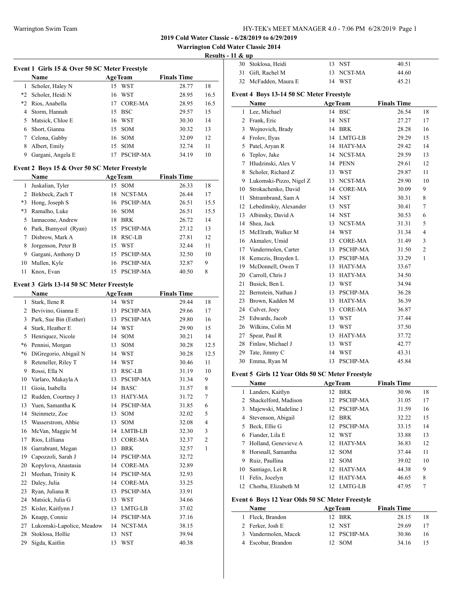#### **Warrington Cold Water Classic 2014**

**Results - 11 & up**

|              |                                               |    |                 |                    | resuits                  |
|--------------|-----------------------------------------------|----|-----------------|--------------------|--------------------------|
|              | Event 1 Girls 15 & Over 50 SC Meter Freestyle |    |                 |                    |                          |
|              | Name                                          |    | <b>AgeTeam</b>  | <b>Finals Time</b> |                          |
| $\mathbf{1}$ | Scholer, Haley N                              |    | 15 WST          | 28.77              | 18                       |
|              | *2 Scholer, Heidi N                           |    | 16 WST          | 28.95              | 16.5                     |
|              | *2 Rios, Anabella                             |    | 17 CORE-MA      | 28.95              | 16.5                     |
|              | 4 Storm, Hannah                               | 15 | <b>BSC</b>      | 29.57              | 15                       |
| 5            | Matsick, Chloe E                              | 16 | WST             | 30.30              | 14                       |
|              | 6 Short, Gianna                               | 15 | SOM             | 30.32              | 13                       |
| 7            | Celona, Gabby                                 |    | 16 SOM          | 32.09              | 12                       |
| 8            | Albert, Emily                                 | 15 | <b>SOM</b>      | 32.74              | 11                       |
| 9            | Gargani, Angela E                             | 17 | PSCHP-MA        | 34.19              | 10                       |
|              |                                               |    |                 |                    |                          |
|              | Event 2 Boys 15 & Over 50 SC Meter Freestyle  |    |                 |                    |                          |
|              | Name                                          |    | <b>AgeTeam</b>  | <b>Finals Time</b> |                          |
| 1            | Juskalian, Tyler                              |    | 15 SOM          | 26.33              | 18                       |
|              | 2 Birkbeck, Zach T                            |    | 18 NCST-MA      | 26.44              | 17                       |
|              | *3 Hong, Joseph S                             |    | 16 PSCHP-MA     | 26.51              | 15.5                     |
|              | *3 Ramalho, Luke                              |    | 16 SOM          | 26.51              | 15.5                     |
|              | 5 Iannacone, Andrew                           |    | 18 BRK          | 26.72              | 14                       |
|              | 6 Park, Bumyeol (Ryan)                        |    | 15 PSCHP-MA     | 27.12              | 13                       |
| 7            | Disbrow, Mark A                               |    | 18 RSC-LB       | 27.81              | 12                       |
| 8            | Jorgenson, Peter B                            |    | 15 WST          | 32.44              | 11                       |
| 9            | Gargani, Anthony D                            | 15 | <b>PSCHP-MA</b> | 32.50              | 10                       |
| 10           | Mullen, Kyle                                  | 16 | PSCHP-MA        | 32.87              | 9                        |
| 11           | Knox, Evan                                    |    | 15 PSCHP-MA     | 40.50              | 8                        |
|              | Event 3 Girls 13-14 50 SC Meter Freestyle     |    |                 |                    |                          |
|              | Name                                          |    | <b>AgeTeam</b>  | <b>Finals Time</b> |                          |
| 1            | Stark, Ilene R                                |    | 14 WST          | 29.44              | 18                       |
|              | 2 Bevivino, Gianna E                          | 13 | PSCHP-MA        | 29.66              | 17                       |
|              | 3 Park, Sue Bin (Esther)                      |    | 13 PSCHP-MA     | 29.80              | 16                       |
|              | 4 Stark, Heather E                            |    | 14 WST          | 29.90              | 15                       |
|              | 5 Henriquez, Nicole                           |    | 14 SOM          | 30.21              | 14                       |
|              | *6 Pennisi, Morgan                            |    | 13 SOM          | 30.28              | 12.5                     |
|              |                                               |    |                 |                    |                          |
| *6           | DiGregorio, Abigail N                         |    | 14 WST          | 30.28              | 12.5                     |
| 8            | Reteneller, Riley T                           |    | 14 WST          | 30.46              | 11                       |
| 9            | Rossi, Ella N                                 | 13 | RSC-LB          | 31.19              | 10                       |
| 10           | Varlaro, Makayla A                            | 13 | PSCHP-MA        | 31.34              | 9                        |
| 11           | Gioia, Isabella                               | 14 | <b>BASC</b>     | 31.57              | 8                        |
| 12           | Rudden, Courtney J                            | 13 | HATY-MA         | 31.72              | 7                        |
| 13           | Yuen, Samantha K                              | 14 | PSCHP-MA        | 31.85              | 6                        |
| 14           | Steinmetz, Zoe                                | 13 | SOM             | 32.02              | 5                        |
| 15           | Wasserstrom, Abbie                            | 13 | SOM             | 32.08              | $\overline{\mathcal{A}}$ |
|              | 16 McVan, Maggie M                            | 14 | LMTB-LB         | 32.30              | 3                        |
| 17           | Rios, Lilliana                                | 13 | <b>CORE-MA</b>  | 32.37              | $\boldsymbol{2}$         |
| 18           | Garrabrant, Megan                             | 13 | <b>BRK</b>      | 32.57              | $\mathbf{1}$             |
| 19           | Capozzoli, Sarah J                            | 14 | PSCHP-MA        | 32.72              |                          |
| 20           | Kopylova, Anastasia                           | 14 | CORE-MA         | 32.89              |                          |
| 21           | Meehan, Trinity K                             | 14 | PSCHP-MA        | 32.93              |                          |
| 22           | Daley, Julia                                  | 14 | CORE-MA         | 33.25              |                          |
| 23           | Ryan, Juliana R                               | 13 | PSCHP-MA        | 33.91              |                          |
| 24           | Matsick, Julia G                              | 13 | <b>WST</b>      | 34.66              |                          |
| 25           | Kisler, Kaitlynn J                            | 13 | LMTG-LB         | 37.02              |                          |
| 26           | Knapp, Connie                                 | 14 | PSCHP-MA        | 37.16              |                          |
| 27           | Lukomski-Lapolice, Meadow                     | 14 | NCST-MA         | 38.15              |                          |
| 28           | Stoklosa, Hollie                              | 13 | NST             | 39.94              |                          |
| 29           | Sigda, Kaitlin                                | 13 | WST             | 40.38              |                          |

| . |                      |            |       |
|---|----------------------|------------|-------|
|   | 30 Stoklosa, Heidi   | 13 NST     | 40.51 |
|   | 31 Gift, Rachel M    | 13 NCST-MA | 44.60 |
|   | 32 McFadden, Maura E | 14 WST     | 45.21 |

### **Event 4 Boys 13-14 50 SC Meter Freestyle**

|    | Name                    |    | <b>AgeTeam</b> | <b>Finals Time</b> |                |
|----|-------------------------|----|----------------|--------------------|----------------|
| 1  | Lee, Michael            |    | 14 BSC         | 26.54              | 18             |
| 2  | Frank, Eric             | 14 | <b>NST</b>     | 27.27              | 17             |
| 3  | Wojnovich, Brady        | 14 | <b>BRK</b>     | 28.28              | 16             |
| 4  | Frolov, Ilyas           | 14 | LMTG-LB        | 29.29              | 15             |
| 5  | Patel, Aryan R          | 14 | HATY-MA        | 29.42              | 14             |
| 6  | Teplov, Jake            | 14 | NCST-MA        | 29.59              | 13             |
| 7  | Hludzinski, Alex V      | 14 | <b>PENN</b>    | 29.61              | 12             |
| 8  | Scholer, Richard Z      | 13 | WST            | 29.87              | 11             |
| 9  | Lukomski-Pizzo, Nigel Z | 13 | NCST-MA        | 29.90              | 10             |
| 10 | Strokachenko, David     |    | 14 CORE-MA     | 30.09              | 9              |
| 11 | Shtrambrand, Sam A      |    | 14 NST         | 30.31              | 8              |
| 12 | Lebedinskiy, Alexander  | 13 | <b>NST</b>     | 30.41              | $\overline{7}$ |
| 13 | Albinsky, David A       | 14 | <b>NST</b>     | 30.53              | 6              |
| 14 | Shea, Jack              | 13 | NCST-MA        | 31.31              | 5              |
| 15 | McElrath, Walker M      | 14 | <b>WST</b>     | 31.34              | $\overline{4}$ |
| 16 | Akmalov, Umid           | 13 | <b>CORE-MA</b> | 31.49              | 3              |
| 17 | Vandermolen, Carter     | 13 | PSCHP-MA       | 31.50              | $\overline{2}$ |
| 18 | Kemezis, Brayden L      | 13 | PSCHP-MA       | 33.29              | $\mathbf{1}$   |
| 19 | McDonnell, Owen T       | 13 | HATY-MA        | 33.67              |                |
| 20 | Carroll, Chris J        | 13 | HATY-MA        | 34.50              |                |
| 21 | Busick, Ben L           | 13 | <b>WST</b>     | 34.94              |                |
| 22 | Bernstein, Nathan J     | 13 | PSCHP-MA       | 36.28              |                |
| 23 | Brown, Kadden M         | 13 | HATY-MA        | 36.39              |                |
| 24 | Culver, Joey            | 13 | <b>CORE-MA</b> | 36.87              |                |
| 25 | Edwards, Jacob          | 13 | <b>WST</b>     | 37.44              |                |
| 26 | Wilkins, Colin M        | 13 | <b>WST</b>     | 37.50              |                |
| 27 | Spear, Paul R           | 13 | <b>HATY-MA</b> | 37.72              |                |
| 28 | Finlaw, Michael J       | 13 | <b>WST</b>     | 42.77              |                |
| 29 | Tate, Jimmy C           | 14 | <b>WST</b>     | 43.31              |                |
| 30 | Emma, Ryan M            | 13 | PSCHP-MA       | 45.84              |                |
|    |                         |    |                |                    |                |

## **Event 5 Girls 12 Year Olds 50 SC Meter Freestyle**

| Name |                      |                 | <b>AgeTeam</b>  | <b>Finals Time</b> |    |
|------|----------------------|-----------------|-----------------|--------------------|----|
| 1    | Landers, Kaitlyn     | 12              | <b>BRK</b>      | 30.96              | 18 |
| 2    | Shackelford, Madison | 12 <sub>1</sub> | <b>PSCHP-MA</b> | 31.05              | 17 |
| 3    | Majewski, Madeline J |                 | 12 PSCHP-MA     | 31.59              | 16 |
| 4    | Stevenson, Abigail   | 12.             | <b>BRK</b>      | 32.22              | 15 |
| 5.   | Beck, Ellie G        | 12              | <b>PSCHP-MA</b> | 33.15              | 14 |
| 6    | Fiander, Lila E      |                 | 12 WST          | 33.88              | 13 |
|      | Holland, Genevieve A |                 | 12 HATY-MA      | 36.83              | 12 |
| 8    | Horsnall, Samantha   |                 | 12 SOM          | 37.44              | 11 |
| 9    | Ruiz, Paullina       | 12.             | <b>SOM</b>      | 39.02              | 10 |
| 10   | Santiago, Lei R      | 12              | HATY-MA         | 44.38              | 9  |
| 11   | Felix, Jocelyn       | 12.             | HATY-MA         | 46.65              | 8  |
| 12   | Chorba, Elizabeth M  | 12              | LMTG-LB         | 47.95              |    |

# **Event 6 Boys 12 Year Olds 50 SC Meter Freestyle**

| <b>Name</b>          | <b>AgeTeam</b> |             | <b>Finals Time</b> |    |
|----------------------|----------------|-------------|--------------------|----|
| 1 Fleck, Brandon     |                | 12 BRK      | 28.15              | 18 |
| 2 Ferker, Josh E     |                | 12 NST      | 29.69              | 17 |
| 3 Vandermolen, Macek |                | 12 PSCHP-MA | 30.86              | 16 |
| 4 Escobar, Brandon   |                | 12. SOM     | 34.16              |    |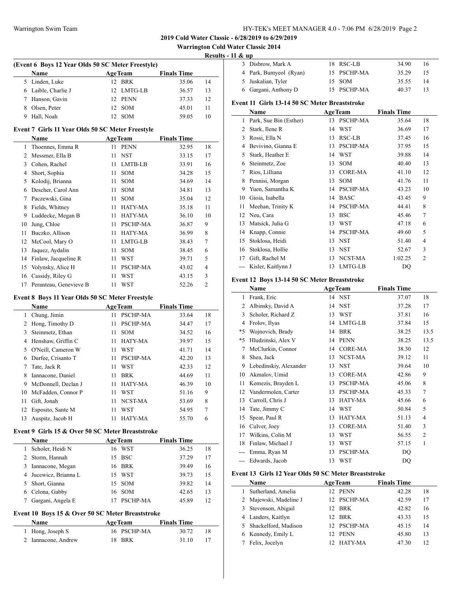**Warrington Cold Water Classic 2014**

**Results - 11 & up**

 $\frac{1}{2}$ 

| <b>Name</b>         | <b>AgeTeam</b> | <b>Finals Time</b> |    |
|---------------------|----------------|--------------------|----|
| 5 Linden, Luke      | 12 BRK         | 35.06              | 14 |
| 6 Laible, Charlie J | 12 LMTG-LB     | 36.57              | 13 |
| 7 Hanson, Gavin     | 12 PENN        | 37.33              | 12 |
| 8 Olsen, Peter      | 12 SOM         | 45.01              | 11 |
| 9 Hall, Noah        | SOM            | 59.05              |    |

#### **Event 7 Girls 11 Year Olds 50 SC Meter Freestyle**

|    | Name                   |    | <b>AgeTeam</b>  | <b>Finals Time</b> |                |
|----|------------------------|----|-----------------|--------------------|----------------|
| 1  | Thoennes, Emma R       | 11 | <b>PENN</b>     | 32.95              | 18             |
| 2  | Messmer, Ella B        | 11 | <b>NST</b>      | 33.15              | 17             |
| 3  | Cohen, Rachel          | 11 | LMTB-LB         | 33.91              | 16             |
| 4  | Short, Sophia          | 11 | <b>SOM</b>      | 34.28              | 15             |
| 5  | Kolodij, Brianna       | 11 | <b>SOM</b>      | 34.69              | 14             |
| 6  | Descher, Carol Ann     | 11 | <b>SOM</b>      | 34.81              | 13             |
| 7  | Paczewski, Gina        | 11 | <b>SOM</b>      | 35.04              | 12             |
| 8  | Fields, Whitney        | 11 | HATY-MA         | 35.18              | 11             |
| 9  | Luddecke, Megan B      | 11 | HATY-MA         | 36.10              | 10             |
| 10 | Jung, Chloe            | 11 | <b>PSCHP-MA</b> | 36.87              | 9              |
| 11 | Buczko, Allison        | 11 | <b>HATY-MA</b>  | 36.99              | 8              |
| 12 | McCool, Mary O         | 11 | LMTG-LB         | 38.43              | 7              |
| 13 | Jaquez, Aydalin        | 11 | <b>SOM</b>      | 38.45              | 6              |
| 14 | Finlaw, Jacqueline R   | 11 | WST             | 39.71              | 5              |
| 15 | Volynsky, Alice H      | 11 | <b>PSCHP-MA</b> | 43.02              | 4              |
| 16 | Cassidy, Riley G       | 11 | WST             | 43.15              | 3              |
| 17 | Peranteau, Genevieve B | 11 | WST             | 52.26              | $\overline{2}$ |

#### **Event 8 Boys 11 Year Olds 50 SC Meter Freestyle**

|                     |             |            | <b>Finals Time</b> |    |
|---------------------|-------------|------------|--------------------|----|
| Chung, Jimin<br>1   | 11          | PSCHP-MA   | 33.64              | 18 |
| Hong, Timothy D     | 11          | PSCHP-MA   | 34.47              | 17 |
| Steinmetz, Ethan    | 11          | <b>SOM</b> | 34.52              | 16 |
| Henshaw, Griffin C  | 11          | HATY-MA    | 39.97              | 15 |
| O'Neill, Cameron W  | 11          | WST        | 41.71              | 14 |
| Durfee, Crisanto T  | 11          | PSCHP-MA   | 42.20              | 13 |
| Tate, Jack R        | 11          | <b>WST</b> | 42.33              | 12 |
| Iannacone, Daniel   | 11          | <b>BRK</b> | 44.69              | 11 |
| McDonnell, Declan J | 11          | HATY-MA    | 46.39              | 10 |
| McFadden, Connor P  | 11          | WST        | 51.16              | 9  |
| Gift, Jonah         | 11          | NCST-MA    | 53.69              | 8  |
| Esposito, Sante M   | 11          | WST        | 54.95              | 7  |
| Auspitz, Jacob H    | 11          | HATY-MA    | 55.70              | 6  |
|                     | <b>Name</b> |            | <b>AgeTeam</b>     |    |

### **Event 9 Girls 15 & Over 50 SC Meter Breaststroke**

 $\overline{a}$ 

|   | <b>Name</b>           |     | <b>AgeTeam</b> | <b>Finals Time</b> |    |
|---|-----------------------|-----|----------------|--------------------|----|
|   | Scholer, Heidi N      |     | 16 WST         | 36.25              | 18 |
| 2 | Storm, Hannah         | 15. | <b>BSC</b>     | 37.29              | 17 |
| 3 | Iannacone, Megan      |     | 16 BRK         | 39.49              | 16 |
|   | 4 Jucewicz, Brianna L |     | 15 WST         | 39.73              | 15 |
|   | Short, Gianna         |     | 15 SOM         | 39.82              | 14 |
| 6 | Celona, Gabby         |     | 16 SOM         | 42.65              | 13 |
|   | Gargani, Angela E     |     | PSCHP-MA       | 45.89              | 12 |

## **Event 10 Boys 15 & Over 50 SC Meter Breaststroke**

| Name                | <b>AgeTeam</b> | <b>Finals Time</b> |
|---------------------|----------------|--------------------|
| 1 Hong, Joseph S    | 16 PSCHP-MA    | 30.72              |
| 2 Iannacone, Andrew | 18 BRK         | 31.10              |

| . ox up |                                                                                           |                                                     |    |
|---------|-------------------------------------------------------------------------------------------|-----------------------------------------------------|----|
|         |                                                                                           | 34.90                                               | 16 |
|         |                                                                                           | 35.29                                               | 15 |
|         |                                                                                           | 35.55                                               | 14 |
|         |                                                                                           | 40.37                                               | 13 |
|         | 3 Disbrow, Mark A<br>4 Park, Bumyeol (Ryan)<br>5 Juskalian, Tyler<br>6 Gargani, Anthony D | 18 RSC-LB<br>15 PSCHP-MA<br>$15$ SOM<br>15 PSCHP-MA |    |

## **Event 11 Girls 13-14 50 SC Meter Breaststroke**

|    | Name                   |    | <b>AgeTeam</b>  | <b>Finals Time</b> |                |
|----|------------------------|----|-----------------|--------------------|----------------|
| 1  | Park, Sue Bin (Esther) | 13 | <b>PSCHP-MA</b> | 35.64              | 18             |
| 2  | Stark, Ilene R         | 14 | <b>WST</b>      | 36.69              | 17             |
| 3  | Rossi, Ella N          | 13 | RSC-LB          | 37.45              | 16             |
| 4  | Bevivino, Gianna E     | 13 | <b>PSCHP-MA</b> | 37.95              | 15             |
| 5  | Stark, Heather E       | 14 | WST             | 39.88              | 14             |
| 6  | Steinmetz, Zoe         | 13 | <b>SOM</b>      | 40.40              | 13             |
| 7  | Rios, Lilliana         | 13 | <b>CORE-MA</b>  | 41.10              | 12             |
| 8  | Pennisi, Morgan        | 13 | SOM             | 41.76              | 11             |
| 9  | Yuen, Samantha K       | 14 | <b>PSCHP-MA</b> | 43.23              | 10             |
| 10 | Gioia, Isabella        | 14 | <b>BASC</b>     | 43.45              | 9              |
| 11 | Meehan, Trinity K      | 14 | <b>PSCHP-MA</b> | 44.41              | 8              |
| 12 | Neu, Cara              | 13 | <b>BSC</b>      | 45.46              | 7              |
| 13 | Matsick, Julia G       | 13 | WST             | 47.18              | 6              |
| 14 | Knapp, Connie          | 14 | PSCHP-MA        | 49.60              | 5              |
| 15 | Stoklosa, Heidi        | 13 | <b>NST</b>      | 51.40              | $\overline{4}$ |
| 16 | Stoklosa, Hollie       | 13 | <b>NST</b>      | 52.67              | 3              |
| 17 | Gift, Rachel M         | 13 | NCST-MA         | 1:02.25            | $\overline{2}$ |
|    | Kisler, Kaitlynn J     | 13 | LMTG-LB         | DQ                 |                |

#### **Event 12 Boys 13-14 50 SC Meter Breaststroke**

|       | Name                   |    | <b>AgeTeam</b>  | <b>Finals Time</b> |                |
|-------|------------------------|----|-----------------|--------------------|----------------|
| 1     | Frank, Eric            |    | 14 NST          | 37.07              | 18             |
| 2     | Albinsky, David A      | 14 | <b>NST</b>      | 37.28              | 17             |
| 3     | Scholer, Richard Z     | 13 | <b>WST</b>      | 37.81              | 16             |
| 4     | Frolov, Ilyas          | 14 | LMTG-LB         | 37.84              | 15             |
| $*5$  | Wojnovich, Brady       | 14 | <b>BRK</b>      | 38.25              | 13.5           |
| $*5$  | Hludzinski, Alex V     | 14 | <b>PENN</b>     | 38.25              | 13.5           |
| 7     | McClurkin, Connor      | 14 | <b>CORE-MA</b>  | 38.30              | 12             |
| 8     | Shea, Jack             | 13 | NCST-MA         | 39.12              | 11             |
| 9     | Lebedinskiy, Alexander | 13 | <b>NST</b>      | 39.64              | 10             |
| 10    | Akmalov, Umid          | 13 | <b>CORE-MA</b>  | 42.86              | 9              |
| 11    | Kemezis, Brayden L     | 13 | PSCHP-MA        | 45.06              | 8              |
| 12    | Vandermolen, Carter    | 13 | <b>PSCHP-MA</b> | 45.33              | 7              |
| 13    | Carroll, Chris J       | 13 | HATY-MA         | 45.66              | 6              |
| 14    | Tate, Jimmy C          | 14 | <b>WST</b>      | 50.84              | 5              |
| 15    | Spear, Paul R          | 13 | HATY-MA         | 51.13              | $\overline{4}$ |
| 16    | Culver, Joey           | 13 | <b>CORE-MA</b>  | 51.40              | 3              |
| 17    | Wilkins, Colin M       | 13 | WST             | 56.55              | $\overline{2}$ |
| 18    | Finlaw, Michael J      | 13 | WST             | 57.15              | 1              |
|       | Emma, Ryan M           | 13 | PSCHP-MA        | <b>DQ</b>          |                |
| $---$ | Edwards, Jacob         | 13 | <b>WST</b>      | DO                 |                |

#### **Event 13 Girls 12 Year Olds 50 SC Meter Breaststroke**

|    | Name                   | <b>AgeTeam</b> | <b>Finals Time</b> |    |
|----|------------------------|----------------|--------------------|----|
| 1. | Sutherland, Amelia     | 12 PENN        | 42.28              | 18 |
|    | 2 Majewski, Madeline J | 12 PSCHP-MA    | 42.59              | 17 |
|    | 3 Stevenson, Abigail   | 12 BRK         | 42.82              | 16 |
|    | 4 Landers, Kaitlyn     | 12 BRK         | 43.33              | 15 |
|    | 5 Shackelford, Madison | 12 PSCHP-MA    | 45.15              | 14 |
|    | 6 Kennedy, Emily L     | PENN<br>12     | 45.80              | 13 |
|    | Felix, Jocelyn         | HATY-MA        | 47.30              | 12 |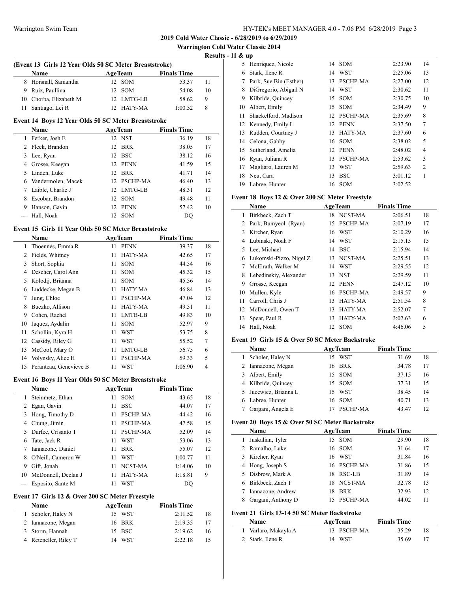**Warrington Cold Water Classic 2014**

**Results - 11 & up**

 $\frac{1}{2}$ 

| (Event 13 Girls 12 Year Olds 50 SC Meter Breaststroke) |                |                    |    |  |  |  |
|--------------------------------------------------------|----------------|--------------------|----|--|--|--|
| <b>Name</b>                                            | <b>AgeTeam</b> | <b>Finals Time</b> |    |  |  |  |
| 8 Horsnall, Samantha                                   | 12 SOM         | 53.37              | 11 |  |  |  |
| 9 Ruiz, Paullina                                       | 12 SOM         | 54.08              | 10 |  |  |  |
| 10 Chorba, Elizabeth M                                 | 12 LMTG-LB     | 58.62              | 9  |  |  |  |
| Santiago, Lei R                                        | 12 HATY-MA     | 1:00.52            | 8  |  |  |  |

#### **Event 14 Boys 12 Year Olds 50 SC Meter Breaststroke**

|   | Name               | <b>AgeTeam</b> |             | <b>Finals Time</b> |    |
|---|--------------------|----------------|-------------|--------------------|----|
|   | Ferker, Josh E     |                | 12 NST      | 36.19              | 18 |
|   | 2 Fleck, Brandon   |                | 12 BRK      | 38.05              | 17 |
|   | 3 Lee, Ryan        |                | 12 BSC      | 38.12              | 16 |
| 4 | Grosse, Keegan     |                | 12 PENN     | 41.59              | 15 |
|   | 5 Linden, Luke     |                | 12 BRK      | 41.71              | 14 |
| 6 | Vandermolen, Macek |                | 12 PSCHP-MA | 46.40              | 13 |
|   | Laible, Charlie J  |                | 12 LMTG-LB  | 48.31              | 12 |
| 8 | Escobar, Brandon   |                | 12 SOM      | 49.48              | 11 |
| 9 | Hanson, Gavin      | 12.            | <b>PENN</b> | 57.42              | 10 |
|   | Hall, Noah         | 12             | <b>SOM</b>  | DO                 |    |

#### **Event 15 Girls 11 Year Olds 50 SC Meter Breaststroke**

|    | Name                   |    | <b>AgeTeam</b>  | <b>Finals Time</b> |    |
|----|------------------------|----|-----------------|--------------------|----|
| 1  | Thoennes, Emma R       | 11 | <b>PENN</b>     | 39.37              | 18 |
| 2  | Fields, Whitney        | 11 | HATY-MA         | 42.65              | 17 |
| 3  | Short, Sophia          | 11 | <b>SOM</b>      | 44.54              | 16 |
| 4  | Descher, Carol Ann     | 11 | <b>SOM</b>      | 45.32              | 15 |
| 5. | Kolodij, Brianna       | 11 | <b>SOM</b>      | 45.56              | 14 |
| 6  | Luddecke, Megan B      | 11 | HATY-MA         | 46.84              | 13 |
| 7  | Jung, Chloe            | 11 | <b>PSCHP-MA</b> | 47.04              | 12 |
| 8  | Buczko, Allison        | 11 | <b>HATY-MA</b>  | 49.51              | 11 |
| 9  | Cohen, Rachel          | 11 | LMTB-LB         | 49.83              | 10 |
| 10 | Jaquez, Aydalin        | 11 | <b>SOM</b>      | 52.97              | 9  |
| 11 | Schollin, Kyra H       | 11 | WST             | 53.75              | 8  |
| 12 | Cassidy, Riley G       | 11 | WST             | 55.52              | 7  |
| 13 | McCool, Mary O         | 11 | LMTG-LB         | 56.75              | 6  |
| 14 | Volynsky, Alice H      | 11 | <b>PSCHP-MA</b> | 59.33              | 5  |
| 15 | Peranteau, Genevieve B | 11 | WST             | 1:06.90            | 4  |

### **Event 16 Boys 11 Year Olds 50 SC Meter Breaststroke**

|    | <b>Name</b>         |    | <b>AgeTeam</b>  | <b>Finals Time</b> |    |
|----|---------------------|----|-----------------|--------------------|----|
| 1  | Steinmetz, Ethan    | 11 | <b>SOM</b>      | 43.65              | 18 |
|    | Egan, Gavin         | 11 | <b>BSC</b>      | 44.07              | 17 |
| 3  | Hong, Timothy D     | 11 | <b>PSCHP-MA</b> | 44.42              | 16 |
| 4  | Chung, Jimin        | 11 | <b>PSCHP-MA</b> | 47.58              | 15 |
| 5. | Durfee, Crisanto T  | 11 | <b>PSCHP-MA</b> | 52.09              | 14 |
| 6  | Tate, Jack R        | 11 | WST             | 53.06              | 13 |
|    | Iannacone, Daniel   | 11 | <b>BRK</b>      | 55.07              | 12 |
| 8  | O'Neill, Cameron W  | 11 | WST             | 1:00.77            | 11 |
| 9  | Gift, Jonah         | 11 | NCST-MA         | 1:14.06            | 10 |
| 10 | McDonnell, Declan J | 11 | HATY-MA         | 1:18.81            | 9  |
|    | Esposito, Sante M   | 11 | WST             | DO                 |    |

### **Event 17 Girls 12 & Over 200 SC Meter Freestyle**

| Name |                       | <b>AgeTeam</b> |        | <b>Finals Time</b> |    |
|------|-----------------------|----------------|--------|--------------------|----|
|      | 1 Scholer, Haley N    |                | 15 WST | 2:11.52            | 18 |
|      | 2 Iannacone, Megan    |                | 16 BRK | 2:19.35            | 17 |
|      | 3 Storm, Hannah       |                | 15 BSC | 2:19.62            | 16 |
|      | 4 Reteneller, Riley T |                | 14 WST | 2:22.18            |    |

| 5  | Henriquez, Nicole      | 14 | <b>SOM</b>      | 2:23.90 | 14             |
|----|------------------------|----|-----------------|---------|----------------|
| 6  | Stark, Ilene R         | 14 | WST             | 2:25.06 | 13             |
| 7  | Park, Sue Bin (Esther) | 13 | PSCHP-MA        | 2:27.00 | 12             |
| 8  | DiGregorio, Abigail N  | 14 | <b>WST</b>      | 2:30.62 | 11             |
| 9  | Kilbride, Quincey      | 15 | <b>SOM</b>      | 2:30.75 | 10             |
| 10 | Albert, Emily          | 15 | <b>SOM</b>      | 2:34.49 | 9              |
| 11 | Shackelford, Madison   | 12 | <b>PSCHP-MA</b> | 2:35.69 | 8              |
| 12 | Kennedy, Emily L       | 12 | <b>PENN</b>     | 2:37.50 | 7              |
| 13 | Rudden, Courtney J     | 13 | HATY-MA         | 2:37.60 | 6              |
| 14 | Celona, Gabby          | 16 | <b>SOM</b>      | 2:38.02 | 5              |
| 15 | Sutherland, Amelia     | 12 | <b>PENN</b>     | 2:48.02 | 4              |
| 16 | Ryan, Juliana R        | 13 | PSCHP-MA        | 2:53.62 | 3              |
| 17 | Magliaro, Lauren M     | 13 | WST             | 2:59.63 | $\mathfrak{D}$ |
| 18 | Neu, Cara              | 13 | <b>BSC</b>      | 3:01.12 | 1              |
| 19 | Labree, Hunter         | 16 | <b>SOM</b>      | 3:02.52 |                |

## **Event 18 Boys 12 & Over 200 SC Meter Freestyle**

|    | Name                    | <b>AgeTeam</b>     | <b>Finals Time</b> |    |
|----|-------------------------|--------------------|--------------------|----|
| 1  | Birkbeck, Zach T        | NCST-MA<br>18      | 2:06.51            | 18 |
| 2  | Park, Bumyeol (Ryan)    | PSCHP-MA<br>15     | 2:07.19            | 17 |
| 3  | Kircher, Ryan           | WST<br>16          | 2:10.29            | 16 |
| 4  | Lubinski, Noah F        | WST<br>14          | 2:15.15            | 15 |
| 5. | Lee, Michael            | <b>BSC</b><br>14   | 2:15.94            | 14 |
| 6  | Lukomski-Pizzo, Nigel Z | NCST-MA<br>13      | 2:25.51            | 13 |
| 7  | McElrath, Walker M      | WST<br>14          | 2:29.55            | 12 |
| 8  | Lebedinskiy, Alexander  | <b>NST</b><br>13   | 2:29.59            | 11 |
| 9  | Grosse, Keegan          | <b>PENN</b><br>12. | 2:47.12            | 10 |
| 10 | Mullen, Kyle            | PSCHP-MA<br>16     | 2:49.57            | 9  |
| 11 | Carroll, Chris J        | HATY-MA<br>13      | 2:51.54            | 8  |
| 12 | McDonnell, Owen T       | HATY-MA<br>13      | 2:52.07            | 7  |
| 13 | Spear, Paul R           | HATY-MA<br>13      | 3:07.63            | 6  |
| 14 | Hall, Noah              | <b>SOM</b><br>12.  | 4:46.06            | 5  |

#### **Event 19 Girls 15 & Over 50 SC Meter Backstroke**

| Name                  | <b>AgeTeam</b> | <b>Finals Time</b> |    |
|-----------------------|----------------|--------------------|----|
| Scholer, Haley N      | WST<br>15      | 31.69              | 18 |
| Iannacone, Megan      | 16 BRK         | 34.78              | 17 |
| Albert, Emily         | 15 SOM         | 37.15              | 16 |
| 4 Kilbride, Quincey   | 15 SOM         | 37.31              | 15 |
| 5 Jucewicz, Brianna L | WST<br>15      | 38.45              | 14 |
| Labree, Hunter        | 16 SOM         | 40.71              | 13 |
| Gargani, Angela E     | PSCHP-MA       | 43.47              | 12 |

#### **Event 20 Boys 15 & Over 50 SC Meter Backstroke**

| Name               |    | <b>AgeTeam</b> | <b>Finals Time</b> |    |
|--------------------|----|----------------|--------------------|----|
| Juskalian, Tyler   |    | 15 SOM         | 29.90              | 18 |
| 2 Ramalho, Luke    |    | 16 SOM         | 31.64              | 17 |
| 3 Kircher, Ryan    |    | 16 WST         | 31.84              | 16 |
| 4 Hong, Joseph S   |    | 16 PSCHP-MA    | 31.86              | 15 |
| 5 Disbrow, Mark A  | 18 | RSC-LB         | 31.89              | 14 |
| 6 Birkbeck, Zach T | 18 | NCST-MA        | 32.78              | 13 |
| Iannacone, Andrew  | 18 | <b>BRK</b>     | 32.93              | 12 |
| Gargani, Anthony D |    | PSCHP-MA       | 44.02              |    |

#### **Event 21 Girls 13-14 50 SC Meter Backstroke**

| Name                 | <b>AgeTeam</b> |             | <b>Finals Time</b> |    |
|----------------------|----------------|-------------|--------------------|----|
| 1 Varlaro, Makayla A |                | 13 PSCHP-MA | 35.29              | 18 |
| 2 Stark, Ilene R     |                | 14 WST      | 35.69              |    |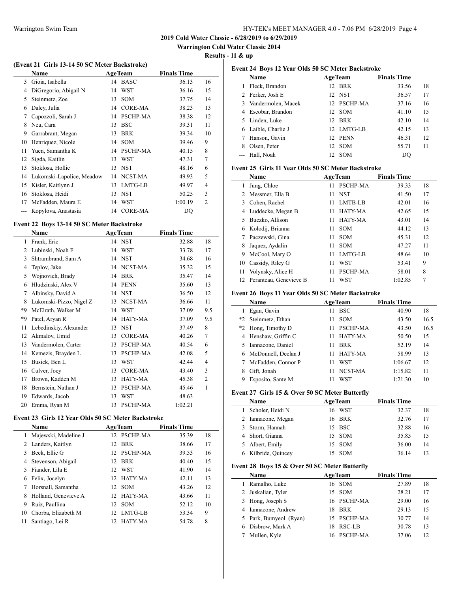**Warrington Cold Water Classic 2014**

 $\overline{a}$ 

**Results - 11 & up**

|  |  | (Event 21 Girls 13-14 50 SC Meter Backstroke) |  |
|--|--|-----------------------------------------------|--|
|--|--|-----------------------------------------------|--|

|    | Name                      |    | <b>AgeTeam</b>  | <b>Finals Time</b> |                |
|----|---------------------------|----|-----------------|--------------------|----------------|
| 3  | Gioia, Isabella           | 14 | <b>BASC</b>     | 36.13              | 16             |
| 4  | DiGregorio, Abigail N     | 14 | <b>WST</b>      | 36.16              | 15             |
| 5  | Steinmetz, Zoe            | 13 | <b>SOM</b>      | 37.75              | 14             |
| 6  | Daley, Julia              |    | 14 CORE-MA      | 38.23              | 13             |
| 7  | Capozzoli, Sarah J        | 14 | <b>PSCHP-MA</b> | 38.38              | 12             |
| 8  | Neu, Cara                 | 13 | <b>BSC</b>      | 39.31              | 11             |
| 9  | Garrabrant, Megan         | 13 | <b>BRK</b>      | 39.34              | 10             |
| 10 | Henriquez, Nicole         |    | 14 SOM          | 39.46              | 9              |
| 11 | Yuen, Samantha K          |    | 14 PSCHP-MA     | 40.15              | 8              |
| 12 | Sigda, Kaitlin            | 13 | WST             | 47.31              | 7              |
| 13 | Stoklosa, Hollie          | 13 | <b>NST</b>      | 48.16              | 6              |
| 14 | Lukomski-Lapolice, Meadow | 14 | NCST-MA         | 49.93              | 5              |
| 15 | Kisler, Kaitlynn J        | 13 | LMTG-LB         | 49.97              | 4              |
| 16 | Stoklosa, Heidi           |    | 13 NST          | 50.25              | 3              |
| 17 | McFadden, Maura E         | 14 | WST             | 1:00.19            | $\overline{2}$ |
|    | Kopylova, Anastasia       | 14 | <b>CORE-MA</b>  | DQ                 |                |

### **Event 22 Boys 13-14 50 SC Meter Backstroke**

 $\overline{\phantom{0}}$ 

|                | Name                    |    | <b>AgeTeam</b>  | <b>Finals Time</b> |                |
|----------------|-------------------------|----|-----------------|--------------------|----------------|
| 1              | Frank, Eric             |    | 14 NST          | 32.88              | 18             |
| $\overline{2}$ | Lubinski, Noah F        | 14 | WST             | 33.78              | 17             |
| 3              | Shtrambrand, Sam A      | 14 | <b>NST</b>      | 34.68              | 16             |
| 4              | Teplov, Jake            | 14 | NCST-MA         | 35.32              | 15             |
| 5              | Wojnovich, Brady        | 14 | <b>BRK</b>      | 35.47              | 14             |
| 6              | Hludzinski, Alex V      | 14 | <b>PENN</b>     | 35.60              | 13             |
| 7              | Albinsky, David A       | 14 | <b>NST</b>      | 36.50              | 12             |
| 8              | Lukomski-Pizzo, Nigel Z | 13 | NCST-MA         | 36.66              | 11             |
| *9             | McElrath, Walker M      | 14 | <b>WST</b>      | 37.09              | 9.5            |
| *9             | Patel, Aryan R          | 14 | HATY-MA         | 37.09              | 9.5            |
| 11             | Lebedinskiy, Alexander  | 13 | <b>NST</b>      | 37.49              | 8              |
| 12             | Akmalov, Umid           | 13 | <b>CORE-MA</b>  | 40.26              | 7              |
| 13             | Vandermolen, Carter     | 13 | PSCHP-MA        | 40.54              | 6              |
| 14             | Kemezis, Brayden L      | 13 | <b>PSCHP-MA</b> | 42.08              | 5              |
| 15             | Busick, Ben L           | 13 | WST             | 42.44              | $\overline{4}$ |
| 16             | Culver, Joey            | 13 | CORE-MA         | 43.40              | 3              |
| 17             | Brown, Kadden M         | 13 | HATY-MA         | 45.38              | $\overline{2}$ |
| 18             | Bernstein, Nathan J     | 13 | <b>PSCHP-MA</b> | 45.46              | 1              |
| 19             | Edwards, Jacob          | 13 | WST             | 48.63              |                |
| 20             | Emma, Ryan M            | 13 | PSCHP-MA        | 1:02.21            |                |

### **Event 23 Girls 12 Year Olds 50 SC Meter Backstroke**

|    | <b>Name</b>          | <b>AgeTeam</b>                | <b>Finals Time</b> |    |
|----|----------------------|-------------------------------|--------------------|----|
| 1  | Majewski, Madeline J | 12 PSCHP-MA                   | 35.39              | 18 |
| 2  | Landers, Kaitlyn     | BRK<br>12 <sub>1</sub>        | 17<br>38.66        |    |
| 3  | Beck, Ellie G        | <b>PSCHP-MA</b><br>12.        | 39.53              | 16 |
| 4  | Stevenson, Abigail   | BRK<br>12 <sub>1</sub>        | 40.40              | 15 |
| 5  | Fiander, Lila E      | WST<br>12.                    | 41.90              | 14 |
| 6  | Felix, Jocelyn       | 12 HATY-MA                    | 13<br>42.11        |    |
| 7  | Horsnall, Samantha   | <b>SOM</b><br>12.             | 12<br>43.26        |    |
| 8  | Holland, Genevieve A | HATY-MA<br>12.                | 11<br>43.66        |    |
| 9  | Ruiz, Paullina       | <b>SOM</b><br>12 <sub>1</sub> | 52.12<br>10        |    |
| 10 | Chorba, Elizabeth M  | LMTG-LB<br>12 <sub>1</sub>    | 53.34<br>9         |    |
| 11 | Santiago, Lei R      | HATY-MA<br>12.                | 8<br>54.78         |    |

|   | Event 24 Boys 12 Year Olds 50 SC Meter Backstroke |                |                    |    |  |  |
|---|---------------------------------------------------|----------------|--------------------|----|--|--|
|   | <b>Name</b>                                       | <b>AgeTeam</b> | <b>Finals Time</b> |    |  |  |
|   | Fleck, Brandon                                    | 12 BRK         | 33.56              | 18 |  |  |
|   | 2 Ferker, Josh E                                  | 12 NST         | 36.57              | 17 |  |  |
|   | 3 Vandermolen, Macek                              | 12 PSCHP-MA    | 37.16              | 16 |  |  |
|   | 4 Escobar, Brandon                                | 12 SOM         | 41.10              | 15 |  |  |
|   | 5 Linden, Luke                                    | 12 BRK         | 42.10              | 14 |  |  |
|   | 6 Laible, Charlie J                               | 12 LMTG-LB     | 42.15              | 13 |  |  |
|   | Hanson, Gavin                                     | 12 PENN        | 46.31              | 12 |  |  |
| 8 | Olsen, Peter                                      | 12 SOM         | 55.71              | 11 |  |  |
|   | Hall, Noah                                        | 12 SOM         | DO                 |    |  |  |

### **Event 25 Girls 11 Year Olds 50 SC Meter Backstroke**

|    | Name                   |    | <b>AgeTeam</b>  | <b>Finals Time</b> |    |
|----|------------------------|----|-----------------|--------------------|----|
| 1  | Jung, Chloe            | 11 | <b>PSCHP-MA</b> | 39.33              | 18 |
|    | Messmer, Ella B        | 11 | <b>NST</b>      | 41.50              | 17 |
| 3  | Cohen, Rachel          | 11 | LMTB-LB         | 42.01              | 16 |
|    | Luddecke, Megan B      | 11 | HATY-MA         | 42.65              | 15 |
| 5  | Buczko, Allison        | 11 | HATY-MA         | 43.01              | 14 |
| 6  | Kolodij, Brianna       | 11 | <b>SOM</b>      | 44.12              | 13 |
|    | Paczewski, Gina        | 11 | <b>SOM</b>      | 45.31              | 12 |
| 8  | Jaquez, Aydalin        | 11 | <b>SOM</b>      | 47.27              | 11 |
| 9  | McCool, Mary O         | 11 | LMTG-LB         | 48.64              | 10 |
| 10 | Cassidy, Riley G       | 11 | WST             | 53.41              | 9  |
| 11 | Volynsky, Alice H      | 11 | PSCHP-MA        | 58.01              | 8  |
| 12 | Peranteau, Genevieve B | 11 | WST             | 1:02.85            | 7  |

### **Event 26 Boys 11 Year Olds 50 SC Meter Backstroke**

| Name |                       |    | <b>AgeTeam</b> | <b>Finals Time</b> |      |
|------|-----------------------|----|----------------|--------------------|------|
|      | Egan, Gavin           | 11 | <b>BSC</b>     | 40.90              | 18   |
|      | *2 Steinmetz, Ethan   | 11 | <b>SOM</b>     | 43.50              | 16.5 |
|      | *2 Hong, Timothy D    | 11 | PSCHP-MA       | 43.50              | 16.5 |
|      | 4 Henshaw, Griffin C  | 11 | HATY-MA        | 50.50              | 15   |
|      | 5 Iannacone, Daniel   | 11 | <b>BRK</b>     | 52.19              | 14   |
|      | 6 McDonnell, Declan J | 11 | HATY-MA        | 58.99              | 13   |
|      | McFadden, Connor P    | 11 | WST            | 1:06.67            | 12   |
| 8    | Gift, Jonah           | 11 | NCST-MA        | 1:15.82            | 11   |
| 9    | Esposito, Sante M     |    | WST            | 1:21.30            | 10   |

### **Event 27 Girls 15 & Over 50 SC Meter Butterfly**

|    | <b>Name</b>         | <b>AgeTeam</b> | <b>Finals Time</b> |  |
|----|---------------------|----------------|--------------------|--|
| I. | Scholer, Heidi N    | 16 WST         | 32.37<br>18        |  |
|    | 2 Iannacone, Megan  | 16 BRK         | 32.76<br>17        |  |
|    | 3 Storm, Hannah     | 15 BSC         | 32.88<br>16        |  |
|    | 4 Short, Gianna     | 15 SOM         | 35.85<br>15        |  |
|    | 5 Albert, Emily     | 15 SOM         | 36.00<br>14        |  |
|    | 6 Kilbride, Quincey | <b>SOM</b>     | 36.14              |  |

### **Event 28 Boys 15 & Over 50 SC Meter Butterfly**

| Name                   | <b>AgeTeam</b>   | <b>Finals Time</b> |    |
|------------------------|------------------|--------------------|----|
| Ramalho, Luke          | 16 SOM           | 27.89              | 18 |
| 2 Juskalian, Tyler     | 15 SOM           | 28.21              | 17 |
| 3 Hong, Joseph S       | 16 PSCHP-MA      | 29.00              | 16 |
| 4 Iannacone, Andrew    | <b>BRK</b><br>18 | 29.13              | 15 |
| 5 Park, Bumyeol (Ryan) | 15 PSCHP-MA      | 30.77              | 14 |
| 6 Disbrow, Mark A      | RSC-LB<br>18     | 30.78              | 13 |
| Mullen, Kyle           | <b>PSCHP-MA</b>  | 37.06              | 12 |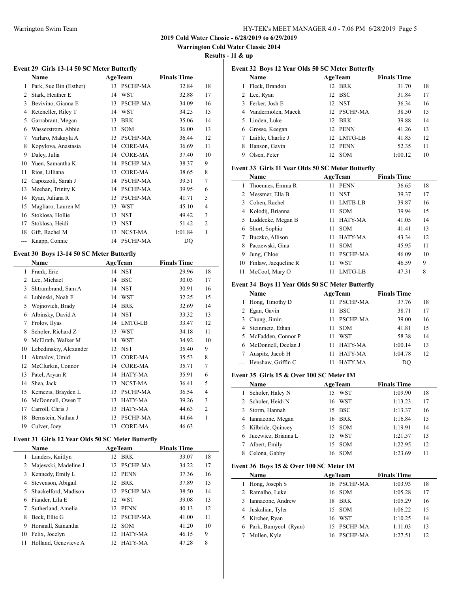### Warrington Swim Team HY-TEK's MEET MANAGER 4.0 - 7:06 PM 6/28/2019 Page 5

**2019 Cold Water Classic - 6/28/2019 to 6/29/2019**

**Warrington Cold Water Classic 2014**

**Results - 11 & up**

| Event 29 Girls 13-14 50 SC Meter Butterfly |  |  |  |  |  |  |
|--------------------------------------------|--|--|--|--|--|--|
| <b>Finals Time</b>                         |  |  |  |  |  |  |
| 32.84<br>18                                |  |  |  |  |  |  |
| 17<br>32.88                                |  |  |  |  |  |  |
| 34.09<br>16                                |  |  |  |  |  |  |
| 34.25<br>15                                |  |  |  |  |  |  |
| 35.06<br>14                                |  |  |  |  |  |  |
| 36.00<br>13                                |  |  |  |  |  |  |
| 36.44<br>12                                |  |  |  |  |  |  |
| 36.69<br>11                                |  |  |  |  |  |  |
| 37.40<br>10                                |  |  |  |  |  |  |
| 38.37<br>9                                 |  |  |  |  |  |  |
| 8<br>38.65                                 |  |  |  |  |  |  |
| 7<br>39.51                                 |  |  |  |  |  |  |
| 39.95<br>6                                 |  |  |  |  |  |  |
| 5<br>41.71                                 |  |  |  |  |  |  |
| 45.10<br>$\overline{4}$                    |  |  |  |  |  |  |
| 3<br>49.42                                 |  |  |  |  |  |  |
| $\overline{c}$<br>51.42                    |  |  |  |  |  |  |
| 1:01.84<br>1                               |  |  |  |  |  |  |
| DQ                                         |  |  |  |  |  |  |
|                                            |  |  |  |  |  |  |

### **Event 30 Boys 13-14 50 SC Meter Butterfly**

|    | Name                   |    | <b>AgeTeam</b>  | <b>Finals Time</b> |                |
|----|------------------------|----|-----------------|--------------------|----------------|
| 1  | Frank, Eric            | 14 | <b>NST</b>      | 29.96              | 18             |
| 2  | Lee, Michael           | 14 | <b>BSC</b>      | 30.03              | 17             |
| 3  | Shtrambrand, Sam A     | 14 | <b>NST</b>      | 30.91              | 16             |
| 4  | Lubinski, Noah F       | 14 | <b>WST</b>      | 32.25              | 15             |
| 5  | Wojnovich, Brady       | 14 | <b>BRK</b>      | 32.69              | 14             |
| 6  | Albinsky, David A      | 14 | <b>NST</b>      | 33.32              | 13             |
| 7  | Frolov, Ilyas          | 14 | LMTG-LB         | 33.47              | 12             |
| 8  | Scholer, Richard Z     | 13 | <b>WST</b>      | 34.18              | 11             |
| 9  | McElrath, Walker M     | 14 | WST             | 34.92              | 10             |
| 10 | Lebedinskiy, Alexander | 13 | <b>NST</b>      | 35.40              | 9              |
| 11 | Akmalov, Umid          | 13 | <b>CORE-MA</b>  | 35.53              | 8              |
| 12 | McClurkin, Connor      | 14 | <b>CORE-MA</b>  | 35.71              | 7              |
| 13 | Patel, Aryan R         | 14 | <b>HATY-MA</b>  | 35.91              | 6              |
| 14 | Shea, Jack             | 13 | NCST-MA         | 36.41              | 5              |
| 15 | Kemezis, Brayden L     | 13 | <b>PSCHP-MA</b> | 36.54              | 4              |
| 16 | McDonnell, Owen T      | 13 | HATY-MA         | 39.26              | 3              |
| 17 | Carroll, Chris J       | 13 | HATY-MA         | 44.63              | $\overline{2}$ |
| 18 | Bernstein, Nathan J    | 13 | <b>PSCHP-MA</b> | 44.64              | 1              |
| 19 | Culver, Joey           | 13 | <b>CORE-MA</b>  | 46.63              |                |

### **Event 31 Girls 12 Year Olds 50 SC Meter Butterfly**

|    | <b>Name</b>          |                 | <b>AgeTeam</b>  | <b>Finals Time</b> |    |
|----|----------------------|-----------------|-----------------|--------------------|----|
| 1  | Landers, Kaitlyn     | 12 <sub>1</sub> | <b>BRK</b>      | 33.07              | 18 |
| 2  | Majewski, Madeline J | 12.             | <b>PSCHP-MA</b> | 34.22              | 17 |
| 3  | Kennedy, Emily L     | 12.             | PENN            | 37.36              | 16 |
| 4  | Stevenson, Abigail   | 12.             | <b>BRK</b>      | 37.89              | 15 |
| 5  | Shackelford, Madison | 12.             | <b>PSCHP-MA</b> | 38.50              | 14 |
| 6  | Fiander, Lila E      | 12.             | WST             | 39.08              | 13 |
|    | Sutherland, Amelia   | 12.             | <b>PENN</b>     | 40.13              | 12 |
| 8  | Beck, Ellie G        | 12              | <b>PSCHP-MA</b> | 41.00              | 11 |
| 9  | Horsnall, Samantha   | 12 <sup>1</sup> | <b>SOM</b>      | 41.20              | 10 |
| 10 | Felix, Jocelyn       | 12.             | HATY-MA         | 46.15              | 9  |
|    | Holland, Genevieve A | 12              | HATY-MA         | 47.28              | 8  |

| Event 32 Boys 12 Year Olds 50 SC Meter Butterfly |                      |     |                |                    |    |  |
|--------------------------------------------------|----------------------|-----|----------------|--------------------|----|--|
|                                                  | Name                 |     | <b>AgeTeam</b> | <b>Finals Time</b> |    |  |
| 1                                                | Fleck, Brandon       | 12  | <b>BRK</b>     | 31.70              | 18 |  |
|                                                  | 2 Lee, Ryan          |     | 12 BSC         | 31.84              | 17 |  |
| 3.                                               | Ferker. Josh E       |     | 12 NST         | 36.34              | 16 |  |
|                                                  | 4 Vandermolen, Macek |     | 12 PSCHP-MA    | 38.50              | 15 |  |
|                                                  | 5 Linden, Luke       | 12  | BRK            | 39.88              | 14 |  |
| 6                                                | Grosse, Keegan       |     | 12 PENN        | 41.26              | 13 |  |
|                                                  | Laible, Charlie J    |     | 12 LMTG-LB     | 41.85              | 12 |  |
| 8                                                | Hanson, Gavin        | 12. | PENN           | 52.35              | 11 |  |
| 9                                                | Olsen, Peter         | 12. | <b>SOM</b>     | 1:00.12            | 10 |  |

#### **Event 33 Girls 11 Year Olds 50 SC Meter Butterfly**

|    | Name                 |    | <b>AgeTeam</b>  | <b>Finals Time</b> |    |
|----|----------------------|----|-----------------|--------------------|----|
|    | Thoennes, Emma R     | 11 | <b>PENN</b>     | 36.65              | 18 |
|    | 2 Messmer, Ella B    | 11 | <b>NST</b>      | 39.37              | 17 |
|    | 3 Cohen, Rachel      | 11 | LMTB-LB         | 39.87              | 16 |
| 4  | Kolodij, Brianna     | 11 | <b>SOM</b>      | 39.94              | 15 |
| 5  | Luddecke, Megan B    | 11 | HATY-MA         | 41.05              | 14 |
| 6  | Short, Sophia        | 11 | <b>SOM</b>      | 41.41              | 13 |
|    | Buczko, Allison      | 11 | <b>HATY-MA</b>  | 43.34              | 12 |
| 8  | Paczewski, Gina      | 11 | <b>SOM</b>      | 45.95              | 11 |
| 9  | Jung, Chloe          | 11 | <b>PSCHP-MA</b> | 46.09              | 10 |
| 10 | Finlaw, Jacqueline R | 11 | WST             | 46.59              | 9  |
| 11 | McCool, Mary O       |    | LMTG-LB         | 47.31              | 8  |

### **Event 34 Boys 11 Year Olds 50 SC Meter Butterfly**

|    | Name                   | <b>AgeTeam</b>        | <b>Finals Time</b> |    |
|----|------------------------|-----------------------|--------------------|----|
| 1. | Hong, Timothy D        | PSCHP-MA              | 37.76              | 18 |
|    | 2 Egan, Gavin          | <b>BSC</b><br>11      | 38.71              | 17 |
|    | 3 Chung, Jimin         | <b>PSCHP-MA</b><br>11 | 39.00              | 16 |
|    | 4 Steinmetz, Ethan     | <b>SOM</b><br>11      | 41.81              | 15 |
|    | 5 McFadden, Connor P   | WST                   | 58.38              | 14 |
|    | 6 McDonnell, Declan J  | HATY-MA               | 1:00.14            | 13 |
|    | Auspitz, Jacob H       | HATY-MA               | 1:04.78            | 12 |
|    | --- Henshaw, Griffin C | HATY-MA               | DO                 |    |

### **Event 35 Girls 15 & Over 100 SC Meter IM**

| Name                  | <b>AgeTeam</b>    | <b>Finals Time</b> |    |
|-----------------------|-------------------|--------------------|----|
| Scholer, Haley N      | WST<br>15         | 1:09.90            | 18 |
| 2 Scholer, Heidi N    | 16 WST            | 1:13.23            | 17 |
| 3 Storm, Hannah       | <b>BSC</b><br>15  | 1:13.37            | 16 |
| 4 Iannacone, Megan    | BRK<br>16         | 1:16.84            | 15 |
| 5 Kilbride, Quincey   | <b>SOM</b><br>15. | 1:19.91            | 14 |
| 6 Jucewicz, Brianna L | WST<br>15         | 1:21.57            | 13 |
| Albert, Emily         | <b>SOM</b><br>15  | 1:22.95            | 12 |
| Celona, Gabby         | <b>SOM</b><br>16. | 1:23.69            | 11 |

### **Event 36 Boys 15 & Over 100 SC Meter IM**

| Name                   | <b>AgeTeam</b>   | <b>Finals Time</b> |    |
|------------------------|------------------|--------------------|----|
| 1 Hong, Joseph S       | 16 PSCHP-MA      | 1:03.93            | 18 |
| 2 Ramalho, Luke        | 16 SOM           | 1:05.28            | 17 |
| 3 Iannacone, Andrew    | <b>BRK</b><br>18 | 1:05.29            | 16 |
| 4 Juskalian, Tyler     | <b>SOM</b><br>15 | 1:06.22            | 15 |
| 5 Kircher, Ryan        | 16 WST           | 1:10.25            | 14 |
| 6 Park, Bumyeol (Ryan) | PSCHP-MA<br>15   | 1:11.03            | 13 |
| Mullen, Kyle           | 16 PSCHP-MA      | 1:27.51            | 12 |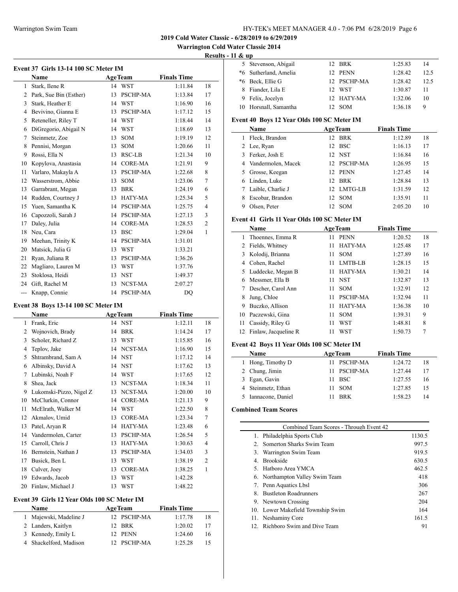**Warrington Cold Water Classic 2014**

### **Results - 11 & up**

| Event 37 Girls 13-14 100 SC Meter IM |                        |    |                 |                    |                |  |  |
|--------------------------------------|------------------------|----|-----------------|--------------------|----------------|--|--|
|                                      | Name                   |    | <b>AgeTeam</b>  | <b>Finals Time</b> |                |  |  |
| 1                                    | Stark, Ilene R         | 14 | WST             | 1:11.84            | 18             |  |  |
| 2                                    | Park, Sue Bin (Esther) | 13 | PSCHP-MA        | 1:13.84            | 17             |  |  |
| 3                                    | Stark, Heather E       | 14 | WST             | 1:16.90            | 16             |  |  |
| 4                                    | Bevivino, Gianna E     | 13 | PSCHP-MA        | 1:17.12            | 15             |  |  |
| 5                                    | Reteneller, Riley T    | 14 | <b>WST</b>      | 1:18.44            | 14             |  |  |
| 6                                    | DiGregorio, Abigail N  | 14 | <b>WST</b>      | 1:18.69            | 13             |  |  |
| 7                                    | Steinmetz, Zoe         | 13 | <b>SOM</b>      | 1:19.19            | 12             |  |  |
| 8                                    | Pennisi, Morgan        | 13 | SOM             | 1:20.66            | 11             |  |  |
| 9                                    | Rossi, Ella N          | 13 | RSC-LB          | 1:21.34            | 10             |  |  |
| 10                                   | Kopylova, Anastasia    | 14 | <b>CORE-MA</b>  | 1:21.91            | 9              |  |  |
| 11                                   | Varlaro, Makayla A     | 13 | PSCHP-MA        | 1:22.68            | 8              |  |  |
| 12                                   | Wasserstrom, Abbie     | 13 | <b>SOM</b>      | 1:23.06            | 7              |  |  |
| 13                                   | Garrabrant, Megan      | 13 | <b>BRK</b>      | 1:24.19            | 6              |  |  |
| 14                                   | Rudden, Courtney J     | 13 | HATY-MA         | 1:25.34            | 5              |  |  |
| 15                                   | Yuen, Samantha K       | 14 | PSCHP-MA        | 1:25.75            | $\overline{4}$ |  |  |
| 16                                   | Capozzoli, Sarah J     | 14 | PSCHP-MA        | 1:27.13            | 3              |  |  |
| 17                                   | Daley, Julia           | 14 | <b>CORE-MA</b>  | 1:28.53            | $\overline{c}$ |  |  |
| 18                                   | Neu, Cara              | 13 | <b>BSC</b>      | 1:29.04            | 1              |  |  |
| 19                                   | Meehan, Trinity K      | 14 | <b>PSCHP-MA</b> | 1:31.01            |                |  |  |
| 20                                   | Matsick, Julia G       | 13 | <b>WST</b>      | 1:33.21            |                |  |  |
| 21                                   | Ryan, Juliana R        | 13 | PSCHP-MA        | 1:36.26            |                |  |  |
| 22                                   | Magliaro, Lauren M     | 13 | WST             | 1:37.76            |                |  |  |
| 23                                   | Stoklosa, Heidi        | 13 | <b>NST</b>      | 1:49.37            |                |  |  |
| 24                                   | Gift, Rachel M         | 13 | NCST-MA         | 2:07.27            |                |  |  |
| ---                                  | Knapp, Connie          | 14 | <b>PSCHP-MA</b> | DQ                 |                |  |  |

### **Event 38 Boys 13-14 100 SC Meter IM**

 $\overline{a}$ 

L,

|    | <b>AgeTeam</b><br>Name  |    |                 | <b>Finals Time</b> |                |
|----|-------------------------|----|-----------------|--------------------|----------------|
| 1  | Frank, Eric             | 14 | <b>NST</b>      | 1:12.11            | 18             |
| 2  | Wojnovich, Brady        | 14 | <b>BRK</b>      | 1:14.24            | 17             |
| 3  | Scholer, Richard Z      | 13 | <b>WST</b>      | 1:15.85            | 16             |
| 4  | Teplov, Jake            | 14 | NCST-MA         | 1:16.90            | 15             |
| 5  | Shtrambrand, Sam A      |    | 14 NST          | 1:17.12            | 14             |
| 6  | Albinsky, David A       | 14 | <b>NST</b>      | 1:17.62            | 13             |
| 7  | Lubinski, Noah F        | 14 | <b>WST</b>      | 1:17.65            | 12             |
| 8  | Shea, Jack              | 13 | NCST-MA         | 1:18.34            | 11             |
| 9  | Lukomski-Pizzo, Nigel Z | 13 | NCST-MA         | 1:20.00            | 10             |
| 10 | McClurkin, Connor       | 14 | <b>CORE-MA</b>  | 1:21.13            | 9              |
| 11 | McElrath, Walker M      | 14 | <b>WST</b>      | 1:22.50            | 8              |
| 12 | Akmalov, Umid           | 13 | <b>CORE-MA</b>  | 1:23.34            | 7              |
| 13 | Patel, Aryan R          | 14 | HATY-MA         | 1:23.48            | 6              |
| 14 | Vandermolen, Carter     | 13 | <b>PSCHP-MA</b> | 1:26.54            | 5              |
| 15 | Carroll, Chris J        | 13 | <b>HATY-MA</b>  | 1:30.63            | 4              |
| 16 | Bernstein, Nathan J     | 13 | <b>PSCHP-MA</b> | 1:34.03            | 3              |
| 17 | Busick, Ben L           | 13 | WST             | 1:38.19            | $\overline{2}$ |
| 18 | Culver, Joey            | 13 | <b>CORE-MA</b>  | 1:38.25            | 1              |
| 19 | Edwards, Jacob          | 13 | <b>WST</b>      | 1:42.28            |                |
| 20 | Finlaw, Michael J       | 13 | <b>WST</b>      | 1:48.22            |                |

## **Event 39 Girls 12 Year Olds 100 SC Meter IM**

| <b>Name</b>            | <b>AgeTeam</b> |         |    |
|------------------------|----------------|---------|----|
| 1 Majewski, Madeline J | 12 PSCHP-MA    | 1:17.78 | 18 |
| 2 Landers, Kaitlyn     | 12 BRK         | 1:20.02 |    |
| 3 Kennedy, Emily L     | 12 PENN        | 1:24.60 | 16 |
| 4 Shackelford, Madison | 12 PSCHP-MA    | 1:25.28 | 15 |

|   | 5 Stevenson, Abigail  | 12 BRK      | 1:25.83 | 14   |
|---|-----------------------|-------------|---------|------|
|   | *6 Sutherland, Amelia | 12 PENN     | 1:28.42 | 12.5 |
|   | *6 Beck, Ellie G      | 12 PSCHP-MA | 1:28.42 | 12.5 |
| 8 | Fiander, Lila E       | 12 WST      | 1:30.87 | 11   |
|   | 9 Felix, Jocelyn      | 12 HATY-MA  | 1:32.06 | 10   |
|   | 10 Horsnall, Samantha | - SOM       | 1:36.18 | 9    |

### **Event 40 Boys 12 Year Olds 100 SC Meter IM**

|   | Name                 | <b>AgeTeam</b>   |            | <b>Finals Time</b> |    |
|---|----------------------|------------------|------------|--------------------|----|
|   | Fleck, Brandon       | 12.              | BRK        | 1:12.89            | 18 |
|   | 2 Lee, Ryan          | 12 <sup>12</sup> | <b>BSC</b> | 1:16.13            | 17 |
|   | 3 Ferker, Josh E     |                  | 12 NST     | 1:16.84            | 16 |
|   | 4 Vandermolen, Macek | 12               | PSCHP-MA   | 1:26.95            | 15 |
|   | 5 Grosse, Keegan     | 12               | PENN       | 1:27.45            | 14 |
| 6 | Linden, Luke         | 12               | <b>BRK</b> | 1:28.84            | 13 |
|   | Laible, Charlie J    |                  | 12 LMTG-LB | 1:31.59            | 12 |
| 8 | Escobar, Brandon     | 12               | <b>SOM</b> | 1:35.91            | 11 |
| 9 | Olsen, Peter         |                  | <b>SOM</b> | 2:05.20            | 10 |

### **Event 41 Girls 11 Year Olds 100 SC Meter IM**

| Name<br><b>AgeTeam</b> |                         |    | <b>Finals Time</b> |         |    |
|------------------------|-------------------------|----|--------------------|---------|----|
| 1.                     | Thoennes, Emma R        | 11 | <b>PENN</b>        | 1:20.52 | 18 |
| 2                      | Fields, Whitney         | 11 | HATY-MA            | 1:25.48 | 17 |
|                        | 3 Kolodij, Brianna      | 11 | <b>SOM</b>         | 1:27.89 | 16 |
| 4                      | Cohen, Rachel           | 11 | LMTB-LB            | 1:28.15 | 15 |
|                        | 5 Luddecke, Megan B     | 11 | HATY-MA            | 1:30.21 | 14 |
| 6                      | Messmer, Ella B         | 11 | <b>NST</b>         | 1:32.87 | 13 |
|                        | Descher, Carol Ann      | 11 | <b>SOM</b>         | 1:32.91 | 12 |
| 8                      | Jung, Chloe             | 11 | PSCHP-MA           | 1:32.94 | 11 |
| 9                      | Buczko, Allison         | 11 | HATY-MA            | 1:36.38 | 10 |
| 10                     | Paczewski, Gina         | 11 | <b>SOM</b>         | 1:39.31 | 9  |
| 11                     | Cassidy, Riley G        | 11 | WST                | 1:48.81 | 8  |
|                        | 12 Finlaw, Jacqueline R | 11 | WST                | 1:50.73 | 7  |

### **Event 42 Boys 11 Year Olds 100 SC Meter IM**

| <b>AgeTeam</b><br><b>Name</b> |  |             | <b>Finals Time</b> |    |  |
|-------------------------------|--|-------------|--------------------|----|--|
| 1 Hong, Timothy D             |  | 11 PSCHP-MA | 1:24.72            | 18 |  |
| 2 Chung, Jimin                |  | 11 PSCHP-MA | 1:27.44            | 17 |  |
| 3 Egan, Gavin                 |  | $11$ BSC    | 1:27.55            | 16 |  |
| 4 Steinmetz, Ethan            |  | – SOM       | 1:27.85            | 15 |  |
| 5 Iannacone, Daniel           |  | <b>RRK</b>  | 1:58.23            | 14 |  |

## **Combined Team Scores**

 $\overline{\phantom{0}}$ 

|    | Combined Team Scores - Through Event 42 |        |
|----|-----------------------------------------|--------|
|    | 1. Philadelphia Sports Club             | 1130.5 |
|    | 2. Somerton Sharks Swim Team            | 997.5  |
|    | 3. Warrington Swim Team                 | 919.5  |
| 4. | <b>Brookside</b>                        | 630.5  |
|    | 5. Hatboro Area YMCA                    | 462.5  |
|    | 6. Northampton Valley Swim Team         | 418    |
| 7. | Penn Aquatics Lbsl                      | 306    |
| 8. | <b>Bustleton Roadrunners</b>            | 267    |
|    | 9. Newtown Crossing                     | 204    |
|    | 10. Lower Makefield Township Swim       | 164    |
|    | 11. Neshaminy Core                      | 161.5  |
|    | 12. Richboro Swim and Dive Team         | 91     |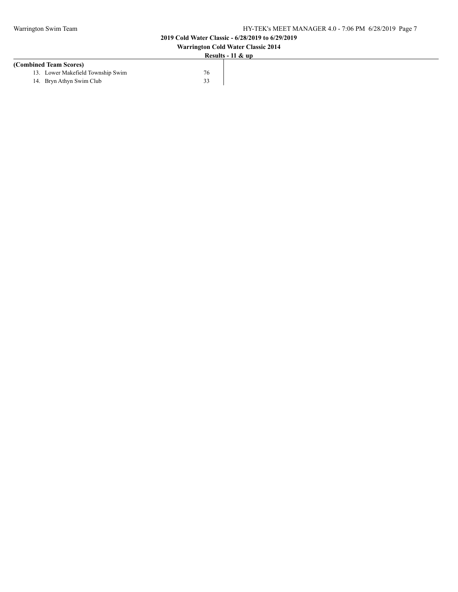| <b>Warrington Cold Water Classic 2014</b> |    |  |  |
|-------------------------------------------|----|--|--|
| Results - $11 \& \text{up}$               |    |  |  |
| (Combined Team Scores)                    |    |  |  |
| 13. Lower Makefield Township Swim         | 76 |  |  |
| 14. Bryn Athyn Swim Club                  | 33 |  |  |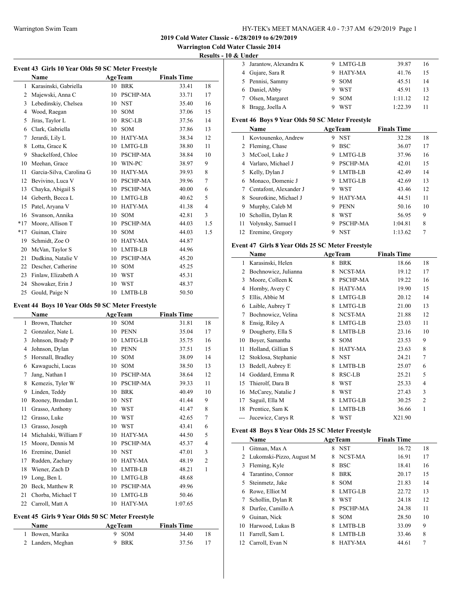**Warrington Cold Water Classic 2014**

**Results - 10 & Under**

 $\overline{a}$ 

 $\overline{a}$ 

| Event 43 Girls 10 Year Olds 50 SC Meter Freestyle |                          |    |                 |                    |                |  |  |
|---------------------------------------------------|--------------------------|----|-----------------|--------------------|----------------|--|--|
|                                                   | Name                     |    | <b>AgeTeam</b>  | <b>Finals Time</b> |                |  |  |
| $\mathbf{1}$                                      | Karasinski, Gabriella    | 10 | <b>BRK</b>      | 33.41              | 18             |  |  |
| 2                                                 | Majewski, Anna C         | 10 | PSCHP-MA        | 33.71              | 17             |  |  |
| 3                                                 | Lebedinskiy, Chelsea     | 10 | <b>NST</b>      | 35.40              | 16             |  |  |
| 4                                                 | Wood, Raegan             | 10 | <b>SOM</b>      | 37.06              | 15             |  |  |
| 5                                                 | Jiras, Taylor L          | 10 | RSC-LB          | 37.56              | 14             |  |  |
| 6                                                 | Clark, Gabriella         | 10 | <b>SOM</b>      | 37.86              | 13             |  |  |
| 7                                                 | Jerardi, Lily L          | 10 | HATY-MA         | 38.34              | 12             |  |  |
| 8                                                 | Lotta, Grace K           | 10 | LMTG-LB         | 38.80              | 11             |  |  |
| 9                                                 | Shackelford, Chloe       | 10 | PSCHP-MA        | 38.84              | 10             |  |  |
| 10                                                | Meehan, Grace            | 10 | WIN-PC          | 38.97              | 9              |  |  |
| 11                                                | Garcia-Silva, Carolina G | 10 | HATY-MA         | 39.93              | 8              |  |  |
| 12                                                | Bevivino, Luca V         | 10 | <b>PSCHP-MA</b> | 39.96              | 7              |  |  |
| 13                                                | Chayka, Abigail S        | 10 | PSCHP-MA        | 40.00              | 6              |  |  |
| 14                                                | Geberth, Becca L         | 10 | LMTG-LB         | 40.62              | 5              |  |  |
| 15                                                | Patel, Aryana V          | 10 | HATY-MA         | 41.38              | $\overline{4}$ |  |  |
| 16                                                | Swanson, Annika          | 10 | <b>SOM</b>      | 42.81              | 3              |  |  |
| $*17$                                             | Moore, Allison T         | 10 | PSCHP-MA        | 44.03              | 1.5            |  |  |
| $*17$                                             | Guinan, Claire           | 10 | <b>SOM</b>      | 44.03              | 1.5            |  |  |
| 19                                                | Schmidt, Zoe O           | 10 | HATY-MA         | 44.87              |                |  |  |
| 20                                                | McVan, Taylor S          | 10 | LMTB-LB         | 44.96              |                |  |  |
| 21                                                | Dudkina, Natalie V       | 10 | PSCHP-MA        | 45.20              |                |  |  |
| 22                                                | Descher, Catherine       | 10 | SOM             | 45.25              |                |  |  |
| 23                                                | Finlaw, Elizabeth A      | 10 | WST             | 45.31              |                |  |  |
| 24                                                | Showaker, Erin J         | 10 | <b>WST</b>      | 48.37              |                |  |  |
| 25                                                | Gould, Paige N           | 10 | LMTB-LB         | 50.50              |                |  |  |
|                                                   |                          |    |                 |                    |                |  |  |

### **Event 44 Boys 10 Year Olds 50 SC Meter Freestyle**

| Name |                      |    | <b>AgeTeam</b> | <b>Finals Time</b> |                |
|------|----------------------|----|----------------|--------------------|----------------|
| 1    | Brown, Thatcher      | 10 | <b>SOM</b>     | 31.81              | 18             |
| 2    | Gonzalez, Nate L     | 10 | <b>PENN</b>    | 35.04              | 17             |
| 3    | Johnson, Brady P     | 10 | LMTG-LB        | 35.75              | 16             |
| 4    | Johnson, Dylan       | 10 | <b>PENN</b>    | 37.51              | 15             |
| 5    | Horsnall, Bradley    | 10 | <b>SOM</b>     | 38.09              | 14             |
| 6    | Kawaguchi, Lucas     | 10 | <b>SOM</b>     | 38.50              | 13             |
| 7    | Jang, Nathan I       | 10 | PSCHP-MA       | 38.64              | 12             |
| 8    | Kemezis, Tyler W     | 10 | PSCHP-MA       | 39.33              | 11             |
| 9    | Linden, Teddy        | 10 | <b>BRK</b>     | 40.49              | 10             |
| 10   | Rooney, Brendan L    | 10 | <b>NST</b>     | 41.44              | 9              |
| 11   | Grasso, Anthony      | 10 | <b>WST</b>     | 41.47              | 8              |
| 12   | Grasso, Luke         | 10 | <b>WST</b>     | 42.65              | 7              |
| 13   | Grasso, Joseph       | 10 | <b>WST</b>     | 43.41              | 6              |
| 14   | Michalski, William F | 10 | HATY-MA        | 44.50              | 5              |
| 15   | Moore, Dennis M      | 10 | PSCHP-MA       | 45.37              | 4              |
| 16   | Eremine, Daniel      | 10 | <b>NST</b>     | 47.01              | 3              |
| 17   | Rudden, Zachary      | 10 | HATY-MA        | 48.19              | $\overline{2}$ |
| 18   | Wiener, Zach D       | 10 | LMTB-LB        | 48.21              | 1              |
| 19   | Long, Ben L          | 10 | LMTG-LB        | 48.68              |                |
| 20   | Beck, Matthew R      | 10 | PSCHP-MA       | 49.96              |                |
| 21   | Chorba, Michael T    | 10 | LMTG-LB        | 50.46              |                |
| 22   | Carroll, Matt A      | 10 | HATY-MA        | 1:07.65            |                |

#### **Event 45 Girls 9 Year Olds 50 SC Meter Freestyle**

| <b>Name</b>       | <b>AgeTeam</b> | <b>Finals Time</b> |
|-------------------|----------------|--------------------|
| 1 Bowen, Marika   | 9 SOM          | 34.40<br>18        |
| 2 Landers, Meghan | 9 BRK          | 37.56              |

| 3 Jarantow, Alexandra K | 9 LMTG-LB  | 39.87   | 16 |  |
|-------------------------|------------|---------|----|--|
| 4 Gujare, Sara R        | 9 HATY-MA  | 41.76   | 15 |  |
| 5 Pennisi, Sammy        | <b>SOM</b> | 45.51   | 14 |  |
| 6 Daniel, Abby          | 9 WST      | 45.91   | 13 |  |
| 7 Olsen, Margaret       | 9 SOM      | 1:11.12 | 12 |  |
| Bragg, Joella A         | WST        | 1:22.39 |    |  |

### **Event 46 Boys 9 Year Olds 50 SC Meter Freestyle**

|    | Name                   | <b>AgeTeam</b> |                 | <b>Finals Time</b> |    |
|----|------------------------|----------------|-----------------|--------------------|----|
|    | 1 Kovtounenko, Andrew  | 9              | <b>NST</b>      | 32.28              | 18 |
| 2  | Fleming, Chase         | 9              | <b>BSC</b>      | 36.07              | 17 |
| 3  | McCool, Luke J         | 9              | LMTG-LB         | 37.96              | 16 |
| 4  | Varlaro, Michael J     | 9              | <b>PSCHP-MA</b> | 42.01              | 15 |
| 5  | Kelly, Dylan J         | 9              | LMTB-LB         | 42.49              | 14 |
| 6  | Monaco, Domenic J      | 9              | LMTG-LB         | 42.69              | 13 |
|    | Centafont, Alexander J | 9              | WST             | 43.46              | 12 |
| 8. | Sourotkine, Michael J  | 9              | HATY-MA         | 44.51              | 11 |
| 9  | Murphy, Caleb M        | 9              | <b>PENN</b>     | 50.16              | 10 |
| 10 | Schollin, Dylan R      | 8              | WST             | 56.95              | 9  |
| 11 | Volynsky, Samuel I     | 9              | PSCHP-MA        | 1:04.81            | 8  |
| 12 | Eremine, Gregory       | 9              | <b>NST</b>      | 1:13.62            | 7  |

### **Event 47 Girls 8 Year Olds 25 SC Meter Freestyle**

| Name |                      |   | <b>AgeTeam</b> | <b>Finals Time</b> |                |
|------|----------------------|---|----------------|--------------------|----------------|
| 1    | Karasinski, Helen    | 8 | <b>BRK</b>     | 18.66              | 18             |
| 2    | Bochnowicz, Julianna | 8 | NCST-MA        | 19.12              | 17             |
| 3    | Moore, Colleen K     | 8 | PSCHP-MA       | 19.22              | 16             |
| 4    | Hornby, Avery C      | 8 | HATY-MA        | 19.90              | 15             |
| 5    | Ellis, Abbie M       | 8 | LMTG-LB        | 20.12              | 14             |
| 6    | Laible, Aubrey T     | 8 | LMTG-LB        | 21.00              | 13             |
| 7    | Bochnowicz, Velina   | 8 | NCST-MA        | 21.88              | 12             |
| 8    | Ensig, Riley A       | 8 | LMTG-LB        | 23.03              | 11             |
| 9    | Dougherty, Ella S    | 8 | LMTB-LB        | 23.16              | 10             |
| 10   | Boyer, Samantha      | 8 | SOM            | 23.53              | 9              |
| 11   | Holland, Gillian S   | 8 | HATY-MA        | 23.63              | 8              |
| 12   | Stoklosa, Stephanie  | 8 | <b>NST</b>     | 24.21              | 7              |
| 13   | Bedell, Aubrey E     | 8 | LMTB-LB        | 25.07              | 6              |
| 14   | Goddard, Emma R      | 8 | RSC-LB         | 25.21              | 5              |
| 15   | Thierolf, Dara B     | 8 | WST            | 25.33              | 4              |
| 16   | McCarey, Natalie J   | 8 | WST            | 27.43              | 3              |
| 17   | Saguil, Ella M       | 8 | LMTG-LB        | 30.25              | $\overline{2}$ |
| 18   | Prentice, Sam K      | 8 | LMTB-LB        | 36.66              | 1              |
|      | Jucewicz, Carys R    | 8 | <b>WST</b>     | X21.90             |                |

#### **Event 48 Boys 8 Year Olds 25 SC Meter Freestyle**

|    | Name                       |   | <b>AgeTeam</b>  | <b>Finals Time</b> |    |
|----|----------------------------|---|-----------------|--------------------|----|
| L  | Gitman, Max A              | 8 | <b>NST</b>      | 16.72              | 18 |
|    | 2 Lukomski-Pizzo, August M | 8 | NCST-MA         | 16.91              | 17 |
| 3  | Fleming, Kyle              | 8 | <b>BSC</b>      | 18.41              | 16 |
| 4  | Tarantino, Connor          | 8 | <b>BRK</b>      | 20.17              | 15 |
| 5. | Steinmetz, Jake            | 8 | <b>SOM</b>      | 21.83              | 14 |
| 6  | Rowe, Elliot M             | 8 | LMTG-LB         | 22.72              | 13 |
|    | Schollin, Dylan R          | 8 | WST             | 24.18              | 12 |
| 8  | Durfee, Camillo A          | 8 | <b>PSCHP-MA</b> | 24.38              | 11 |
| 9  | Guinan, Nick               | 8 | <b>SOM</b>      | 28.50              | 10 |
| 10 | Harwood, Lukas B           | 8 | LMTB-LB         | 33.09              | 9  |
| 11 | Farrell, Sam L             | 8 | LMTB-LB         | 33.46              | 8  |
| 12 | Carroll, Evan N            |   | HATY-MA         | 44.61              |    |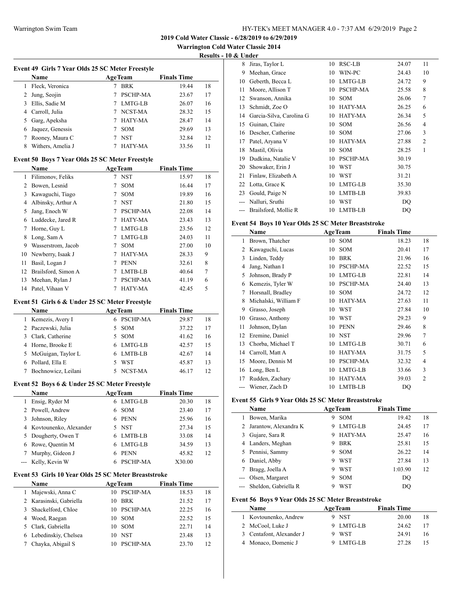**Warrington Cold Water Classic 2014**

**Results - 10 & Under**

|                | Event 49 Girls 7 Year Olds 25 SC Meter Freestyle     |    |                |                    |    |
|----------------|------------------------------------------------------|----|----------------|--------------------|----|
|                | Name                                                 |    | <b>AgeTeam</b> | <b>Finals Time</b> |    |
|                | 1 Fleck, Veronica                                    |    | 7 BRK          | 19.44              | 18 |
|                | 2 Jung, Seojin                                       |    | 7 PSCHP-MA     | 23.67              | 17 |
|                | 3 Ellis, Sadie M                                     |    | 7 LMTG-LB      | 26.07              | 16 |
|                | 4 Carroll, Julia                                     |    | 7 NCST-MA      | 28.32              | 15 |
|                | 5 Garg, Apeksha                                      |    | 7 HATY-MA      | 28.47              | 14 |
| 6              | Jaquez, Genessis                                     |    | 7 SOM          | 29.69              | 13 |
|                | 7 Rooney, Maura C                                    |    | 7 NST          | 32.84              | 12 |
| 8              | Withers, Amelia J                                    |    | 7 HATY-MA      | 33.56              | 11 |
|                | Event 50 Boys 7 Year Olds 25 SC Meter Freestyle      |    |                |                    |    |
|                | Name                                                 |    | <b>AgeTeam</b> | <b>Finals Time</b> |    |
|                | 1 Filimonov, Feliks                                  |    | 7 NST          | 15.97              | 18 |
|                | 2 Bowen, Lesnid                                      | 7  | SOM            | 16.44              | 17 |
|                | 3 Kawaguchi, Tiago                                   |    | 7 SOM          | 19.89              | 16 |
|                | 4 Albinsky, Arthur A                                 |    | 7 NST          | 21.80              | 15 |
|                | 5 Jang, Enoch W                                      |    | 7 PSCHP-MA     | 22.08              | 14 |
|                | 6 Luddecke, Jared R                                  |    | 7 HATY-MA      | 23.43              | 13 |
|                | 7 Horne, Guy L                                       |    | 7 LMTG-LB      | 23.56              | 12 |
| 8              | Long, Sam A                                          |    | 7 LMTG-LB      | 24.03              | 11 |
|                | 9 Wasserstrom, Jacob                                 |    | 7 SOM          | 27.00              | 10 |
|                | 10 Newberry, Isaak J                                 |    | 7 HATY-MA      | 28.33              | 9  |
| 11             | Basil, Logan J                                       |    | 7 PENN         | 32.61              | 8  |
|                | 12 Brailsford, Simon A                               |    | 7 LMTB-LB      | 40.64              | 7  |
| 13             | Meehan, Rylan J                                      |    | 7 PSCHP-MA     | 41.19              | 6  |
|                | 14 Patel, Vihaan V                                   |    | 7 HATY-MA      | 42.45              | 5  |
|                |                                                      |    |                |                    |    |
|                | Event 51 Girls 6 & Under 25 SC Meter Freestyle       |    |                |                    |    |
|                | Name                                                 |    | <b>AgeTeam</b> | <b>Finals Time</b> |    |
|                | 1 Kemezis, Avery I                                   |    | 6 PSCHP-MA     | 29.87              | 18 |
|                | 2 Paczewski, Julia                                   |    | 5 SOM          | 37.22              | 17 |
|                | 3 Clark, Catherine                                   |    | 5 SOM          | 41.62              | 16 |
|                | 4 Horne, Brooke E                                    |    | 6 LMTG-LB      | 42.57              | 15 |
|                | 5 McGuigan, Taylor L                                 |    | 6 LMTB-LB      | 42.67              | 14 |
|                | 6 Pollard, Ella E                                    |    | 5 WST          | 45.87              | 13 |
|                | 7 Bochnowicz, Leilani                                |    | 5 NCST-MA      | 46.17              | 12 |
|                | Event 52 Boys 6 & Under 25 SC Meter Freestyle        |    |                |                    |    |
|                | Name                                                 |    | <b>AgeTeam</b> | <b>Finals Time</b> |    |
| 1              | Ensig, Ryder M                                       | 6  | LMTG-LB        | 20.30              | 18 |
| $\overline{2}$ | Powell, Andrew                                       | 6  | SOM            | 23.40              | 17 |
| 3              | Johnson, Riley                                       |    | 6 PENN         | 25.96              | 16 |
| 4              | Kovtounenko, Alexander                               |    | 5 NST          | 27.34              | 15 |
| 5              | Dougherty, Owen T                                    |    | 6 LMTB-LB      | 33.08              | 14 |
| 6              | Rowe, Quentin M                                      |    | 6 LMTG-LB      | 34.59              | 13 |
| 7              | Murphy, Gideon J                                     |    | 6 PENN         | 45.82              | 12 |
| $\frac{1}{2}$  | Kelly, Kevin W                                       | 6  | PSCHP-MA       | X30.00             |    |
|                | Event 53 Girls 10 Year Olds 25 SC Meter Breaststroke |    |                |                    |    |
|                | Name                                                 |    | <b>AgeTeam</b> | <b>Finals Time</b> |    |
| 1              | Majewski, Anna C                                     |    | 10 PSCHP-MA    | 18.53              | 18 |
|                | 2 Karasinski, Gabriella                              | 10 | BRK            | 21.52              | 17 |
| 3              | Shackelford, Chloe                                   | 10 | PSCHP-MA       | 22.25              | 16 |
|                | 4 Wood, Raegan                                       | 10 | SOM            | 22.52              | 15 |
| 5              | Clark, Gabriella                                     | 10 | SOM            | 22.71              | 14 |
| 6              | Lebedinskiy, Chelsea                                 |    | 10 NST         | 23.48              | 13 |

Chayka, Abigail S 10 PSCHP-MA 23.70 12

| 8  | Jiras, Taylor L          | 10 | RSC-LB          | 24.07 | 11             |
|----|--------------------------|----|-----------------|-------|----------------|
| 9  | Meehan, Grace            | 10 | WIN-PC          | 24.43 | 10             |
| 10 | Geberth, Becca L         | 10 | LMTG-LB         | 24.72 | 9              |
| 11 | Moore, Allison T         | 10 | <b>PSCHP-MA</b> | 25.58 | 8              |
| 12 | Swanson, Annika          | 10 | SOM             | 26.06 | 7              |
| 13 | Schmidt, Zoe O           | 10 | HATY-MA         | 26.25 | 6              |
| 14 | Garcia-Silva, Carolina G | 10 | HATY-MA         | 26.34 | 5              |
| 15 | Guinan, Claire           | 10 | SOM             | 26.56 | 4              |
| 16 | Descher, Catherine       | 10 | SOM             | 27.06 | 3              |
| 17 | Patel, Aryana V          | 10 | HATY-MA         | 27.88 | $\overline{2}$ |
| 18 | Mastil, Olivia           | 10 | SOM             | 28.25 | 1              |
| 19 | Dudkina, Natalie V       | 10 | <b>PSCHP-MA</b> | 30.19 |                |
| 20 | Showaker, Erin J         | 10 | <b>WST</b>      | 30.75 |                |
| 21 | Finlaw, Elizabeth A      | 10 | <b>WST</b>      | 31.21 |                |
| 22 | Lotta, Grace K           | 10 | LMTG-LB         | 35.30 |                |
| 23 | Gould, Paige N           | 10 | LMTB-LB         | 39.83 |                |
|    | Nalluri, Sruthi          | 10 | WST             | DQ    |                |
|    | Brailsford, Mollie R     | 10 | LMTB-LB         | DQ    |                |
|    |                          |    |                 |       |                |

## **Event 54 Boys 10 Year Olds 25 SC Meter Breaststroke**

|       | Name                 |    | <b>AgeTeam</b>  | <b>Finals Time</b> |                |
|-------|----------------------|----|-----------------|--------------------|----------------|
| 1     | Brown, Thatcher      | 10 | <b>SOM</b>      | 18.23              | 18             |
| 2     | Kawaguchi, Lucas     | 10 | <b>SOM</b>      | 20.41              | 17             |
| 3     | Linden, Teddy        | 10 | <b>BRK</b>      | 21.96              | 16             |
| 4     | Jang, Nathan I       | 10 | <b>PSCHP-MA</b> | 22.52              | 15             |
| 5     | Johnson, Brady P     | 10 | LMTG-LB         | 22.81              | 14             |
| 6     | Kemezis, Tyler W     | 10 | <b>PSCHP-MA</b> | 24.40              | 13             |
| 7     | Horsnall, Bradley    | 10 | <b>SOM</b>      | 24.72              | 12             |
| 8     | Michalski, William F | 10 | HATY-MA         | 27.63              | 11             |
| 9     | Grasso, Joseph       | 10 | WST             | 27.84              | 10             |
| 10    | Grasso, Anthony      | 10 | <b>WST</b>      | 29.23              | 9              |
| 11    | Johnson, Dylan       | 10 | <b>PENN</b>     | 29.46              | 8              |
| 12    | Eremine, Daniel      | 10 | <b>NST</b>      | 29.96              | 7              |
| 13    | Chorba, Michael T    | 10 | LMTG-LB         | 30.71              | 6              |
| 14    | Carroll, Matt A      | 10 | HATY-MA         | 31.75              | 5              |
| 15    | Moore, Dennis M      | 10 | <b>PSCHP-MA</b> | 32.32              | 4              |
| 16    | Long, Ben L          | 10 | LMTG-LB         | 33.66              | 3              |
| 17    | Rudden, Zachary      | 10 | HATY-MA         | 39.03              | $\overline{2}$ |
| $---$ | Wiener, Zach D       | 10 | LMTB-LB         | DQ                 |                |

### **Event 55 Girls 9 Year Olds 25 SC Meter Breaststroke**

| <b>Name</b>           | <b>AgeTeam</b>  |         | <b>Finals Time</b> |    |
|-----------------------|-----------------|---------|--------------------|----|
| Bowen, Marika         | <b>SOM</b><br>9 |         | 19.42              | 18 |
| Jarantow, Alexandra K | 9               | LMTG-LB | 24.45              | 17 |
| Gujare, Sara R        | 9               | HATY-MA | 25.47              | 16 |
| 4 Landers, Meghan     | <b>BRK</b><br>9 |         | 25.81              | 15 |
| 5 Pennisi, Sammy      | <b>SOM</b><br>9 |         | 26.22              | 14 |
| Daniel, Abby          | <b>WST</b><br>9 |         | 27.84              | 13 |
| Bragg, Joella A       | WST<br>9        |         | 1:03.90            | 12 |
| Olsen, Margaret       | <b>SOM</b><br>9 |         | DO                 |    |
| Sheldon, Gabriella R  | WST<br>9        |         | DO                 |    |

### **Event 56 Boys 9 Year Olds 25 SC Meter Breaststroke**

| <b>Name</b>              | <b>AgeTeam</b> | <b>Finals Time</b> |    |
|--------------------------|----------------|--------------------|----|
| 1 Kovtounenko, Andrew    | 9 NST          | 20.00              | 18 |
| 2 McCool, Luke J         | 9 LMTG-LB      | 24.62              | 17 |
| 3 Centafont, Alexander J | WST            | 24.91              | 16 |
| 4 Monaco, Domenic J      | 9 LMTG-LB      | 27.28              |    |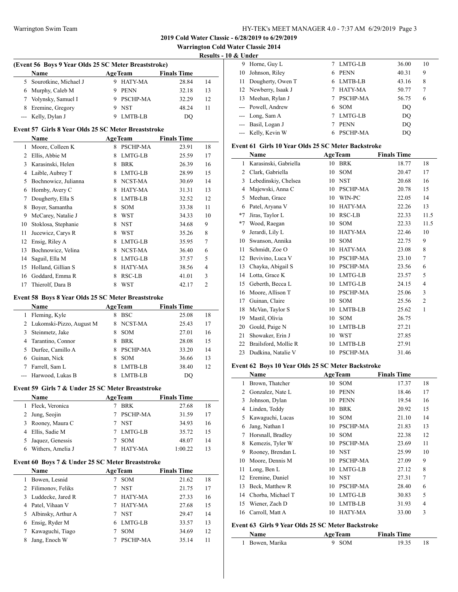**Warrington Cold Water Classic 2014**

**Results - 10 & Under**

| (Event 56 Boys 9 Year Olds 25 SC Meter Breaststroke) |                         |  |                |                    |    |  |
|------------------------------------------------------|-------------------------|--|----------------|--------------------|----|--|
|                                                      | Name                    |  | <b>AgeTeam</b> | <b>Finals Time</b> |    |  |
|                                                      | 5 Sourotkine, Michael J |  | 9 HATY-MA      | 28.84              | 14 |  |
|                                                      | 6 Murphy, Caleb M       |  | PENN           | 32.18              | 13 |  |
|                                                      | 7 Volynsky, Samuel I    |  | 9 PSCHP-MA     | 32.29              | 12 |  |
|                                                      | 8 Eremine, Gregory      |  | <b>NST</b>     | 48.24              | 11 |  |
|                                                      | --- Kelly, Dylan J      |  | LMTB-LB        |                    |    |  |

#### **Event 57 Girls 8 Year Olds 25 SC Meter Breaststroke**

|    | Name                 |   | <b>AgeTeam</b>  | <b>Finals Time</b> |                |
|----|----------------------|---|-----------------|--------------------|----------------|
| 1  | Moore, Colleen K     | 8 | <b>PSCHP-MA</b> | 23.91              | 18             |
| 2  | Ellis, Abbie M       | 8 | LMTG-LB         | 25.59              | 17             |
| 3  | Karasinski, Helen    | 8 | <b>BRK</b>      | 26.39              | 16             |
| 4  | Laible, Aubrey T     | 8 | LMTG-LB         | 28.99              | 15             |
| 5  | Bochnowicz, Julianna | 8 | NCST-MA         | 30.69              | 14             |
| 6  | Hornby, Avery C      | 8 | <b>HATY-MA</b>  | 31.31              | 13             |
| 7  | Dougherty, Ella S    | 8 | LMTB-LB         | 32.52              | 12             |
| 8  | Boyer, Samantha      | 8 | <b>SOM</b>      | 33.38              | 11             |
| 9  | McCarey, Natalie J   | 8 | <b>WST</b>      | 34.33              | 10             |
| 10 | Stoklosa, Stephanie  | 8 | <b>NST</b>      | 34.68              | 9              |
| 11 | Jucewicz, Carys R    | 8 | <b>WST</b>      | 35.26              | 8              |
| 12 | Ensig, Riley A       | 8 | LMTG-LB         | 35.95              | 7              |
| 13 | Bochnowicz, Velina   | 8 | NCST-MA         | 36.40              | 6              |
| 14 | Saguil, Ella M       | 8 | LMTG-LB         | 37.57              | 5              |
| 15 | Holland, Gillian S   | 8 | HATY-MA         | 38.56              | 4              |
| 16 | Goddard, Emma R      | 8 | RSC-LB          | 41.01              | 3              |
| 17 | Thierolf, Dara B     | 8 | <b>WST</b>      | 42.17              | $\overline{2}$ |

#### **Event 58 Boys 8 Year Olds 25 SC Meter Breaststroke**

|    | <b>Name</b>                | <b>AgeTeam</b> |                 | <b>Finals Time</b> |    |
|----|----------------------------|----------------|-----------------|--------------------|----|
| 1  | Fleming, Kyle              | 8              | <b>BSC</b>      | 25.08              | 18 |
|    | 2 Lukomski-Pizzo, August M | 8.             | NCST-MA         | 25.43              | 17 |
| 3  | Steinmetz, Jake            | 8              | <b>SOM</b>      | 27.01              | 16 |
|    | 4 Tarantino, Connor        | 8              | <b>BRK</b>      | 28.08              | 15 |
| 5. | Durfee, Camillo A          | 8              | <b>PSCHP-MA</b> | 33.20              | 14 |
| 6  | Guinan, Nick               | 8              | <b>SOM</b>      | 36.66              | 13 |
|    | Farrell, Sam L             | 8              | LMTB-LB         | 38.40              | 12 |
|    | --- Harwood, Lukas B       |                | LMTB-LB         | DO                 |    |

## **Event 59 Girls 7 & Under 25 SC Meter Breaststroke**

| Name               | <b>AgeTeam</b> |            | <b>Finals Time</b> |    |
|--------------------|----------------|------------|--------------------|----|
| 1 Fleck, Veronica  |                | <b>BRK</b> | 27.68              | 18 |
| 2 Jung, Seojin     |                | 7 PSCHP-MA | 31.59              | 17 |
| 3 Rooney, Maura C  |                | 7 NST      | 34.93              | 16 |
| 4 Ellis, Sadie M   |                | 7 LMTG-LB  | 35.72              | 15 |
| 5 Jaquez, Genessis |                | <b>SOM</b> | 48.07              | 14 |
| Withers, Amelia J  |                | HATY-MA    | 1:00.22            | 13 |

### **Event 60 Boys 7 & Under 25 SC Meter Breaststroke**

|   | Name                 | <b>AgeTeam</b> |            | <b>Finals Time</b> |    |
|---|----------------------|----------------|------------|--------------------|----|
|   | Bowen, Lesnid        |                | <b>SOM</b> | 21.62              | 18 |
|   | 2 Filimonov, Feliks  |                | <b>NST</b> | 21.75              | 17 |
|   | 3 Luddecke, Jared R  |                | HATY-MA    | 27.33              | 16 |
|   | 4 Patel, Vihaan V    |                | HATY-MA    | 27.68              | 15 |
|   | 5 Albinsky, Arthur A |                | <b>NST</b> | 29.47              | 14 |
| 6 | Ensig, Ryder M       |                | 6 LMTG-LB  | 33.57              | 13 |
|   | Kawaguchi, Tiago     |                | <b>SOM</b> | 34.69              | 12 |
| 8 | Jang, Enoch W        |                | PSCHP-MA   | 35.14              | 11 |

| ох опчен |                      |    |                 |       |    |
|----------|----------------------|----|-----------------|-------|----|
| 9        | Horne, Guy L         |    | 7 LMTG-LB       | 36.00 | 10 |
| 10       | Johnson, Riley       | 6. | PENN            | 40.31 | 9  |
| 11       | Dougherty, Owen T    |    | 6 LMTB-LB       | 43.16 | 8  |
|          | 12 Newberry, Isaak J |    | HATY-MA         | 50.77 | 7  |
| 13       | Meehan, Rylan J      |    | <b>PSCHP-MA</b> | 56.75 | 6  |
|          | --- Powell, Andrew   |    | 6 SOM           | DO    |    |
|          | $--$ Long, Sam A     |    | LMTG-LB         | DO    |    |
|          | --- Basil, Logan J   |    | <b>PENN</b>     | DO    |    |
|          | --- Kelly, Kevin W   |    | PSCHP-MA        | DO    |    |

#### **Event 61 Girls 10 Year Olds 25 SC Meter Backstroke**

|                | Name                  |    | <b>AgeTeam</b>  | <b>Finals Time</b> |                |
|----------------|-----------------------|----|-----------------|--------------------|----------------|
| 1              | Karasinski, Gabriella | 10 | <b>BRK</b>      | 18.77              | 18             |
| $\overline{c}$ | Clark, Gabriella      | 10 | <b>SOM</b>      | 20.47              | 17             |
| 3              | Lebedinskiy, Chelsea  | 10 | <b>NST</b>      | 20.68              | 16             |
| 4              | Majewski, Anna C      | 10 | PSCHP-MA        | 20.78              | 15             |
| 5              | Meehan, Grace         | 10 | WIN-PC          | 22.05              | 14             |
| 6              | Patel, Aryana V       | 10 | HATY-MA         | 22.26              | 13             |
| $*7$           | Jiras, Taylor L       | 10 | <b>RSC-LB</b>   | 22.33              | 11.5           |
| $*7$           | Wood, Raegan          | 10 | SOM             | 22.33              | 11.5           |
| 9              | Jerardi, Lily L       | 10 | HATY-MA         | 22.46              | 10             |
| 10             | Swanson, Annika       | 10 | <b>SOM</b>      | 22.75              | 9              |
| 11             | Schmidt, Zoe O        | 10 | HATY-MA         | 23.08              | 8              |
| 12             | Bevivino, Luca V      | 10 | <b>PSCHP-MA</b> | 23.10              | 7              |
| 13             | Chayka, Abigail S     | 10 | PSCHP-MA        | 23.56              | 6              |
| 14             | Lotta, Grace K        | 10 | LMTG-LB         | 23.57              | 5              |
| 15             | Geberth, Becca L      | 10 | LMTG-LB         | 24.15              | 4              |
| 16             | Moore, Allison T      | 10 | <b>PSCHP-MA</b> | 25.06              | 3              |
| 17             | Guinan, Claire        | 10 | <b>SOM</b>      | 25.56              | $\overline{2}$ |
| 18             | McVan, Taylor S       | 10 | LMTB-LB         | 25.62              | 1              |
| 19             | Mastil, Olivia        | 10 | <b>SOM</b>      | 26.75              |                |
| 20             | Gould, Paige N        | 10 | LMTB-LB         | 27.21              |                |
| 21             | Showaker, Erin J      | 10 | <b>WST</b>      | 27.85              |                |
| 22             | Brailsford, Mollie R  | 10 | LMTB-LB         | 27.91              |                |
| 23             | Dudkina, Natalie V    | 10 | <b>PSCHP-MA</b> | 31.46              |                |

### **Event 62 Boys 10 Year Olds 25 SC Meter Backstroke**

|    | Name              | <b>AgeTeam</b> |                | <b>Finals Time</b> |    |
|----|-------------------|----------------|----------------|--------------------|----|
| 1  | Brown, Thatcher   | 10             | SOM            | 17.37              | 18 |
| 2  | Gonzalez, Nate L  | 10             | <b>PENN</b>    | 18.46              | 17 |
| 3  | Johnson, Dylan    | 10             | <b>PENN</b>    | 19.54              | 16 |
| 4  | Linden, Teddy     | 10             | <b>BRK</b>     | 20.92              | 15 |
| 5  | Kawaguchi, Lucas  | 10             | <b>SOM</b>     | 21.10              | 14 |
| 6  | Jang, Nathan I    | 10             | PSCHP-MA       | 21.83              | 13 |
| 7  | Horsnall, Bradley | 10             | <b>SOM</b>     | 22.38              | 12 |
| 8  | Kemezis, Tyler W  | 10             | PSCHP-MA       | 23.69              | 11 |
| 9  | Rooney, Brendan L | 10             | <b>NST</b>     | 25.99              | 10 |
| 10 | Moore, Dennis M   | 10             | PSCHP-MA       | 27.09              | 9  |
| 11 | Long, Ben L       | 10             | LMTG-LB        | 27.12              | 8  |
| 12 | Eremine, Daniel   | 10             | <b>NST</b>     | 27.31              | 7  |
| 13 | Beck, Matthew R   | 10             | PSCHP-MA       | 28.40              | 6  |
| 14 | Chorba, Michael T | 10             | LMTG-LB        | 30.83              | 5  |
| 15 | Wiener, Zach D    | 10             | LMTB-LB        | 31.93              | 4  |
| 16 | Carroll, Matt A   | 10             | <b>HATY-MA</b> | 33.00              | 3  |

### **Event 63 Girls 9 Year Olds 25 SC Meter Backstroke**

| <b>Name</b>     | <b>AgeTeam</b> | <b>Finals Time</b> |  |
|-----------------|----------------|--------------------|--|
| 1 Bowen, Marika | $9$ SOM        | 19.35              |  |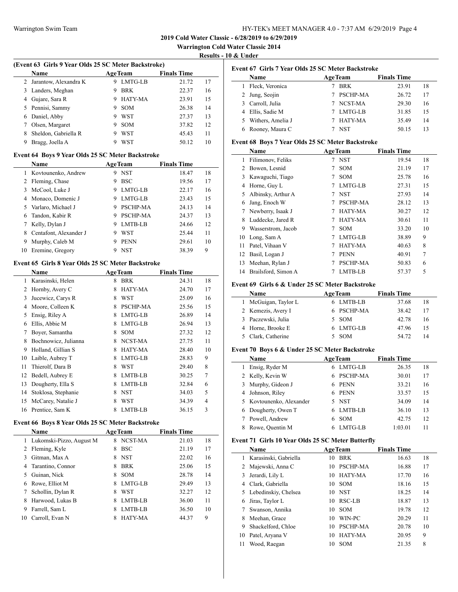$\overline{a}$ 

**2019 Cold Water Classic - 6/28/2019 to 6/29/2019**

**Warrington Cold Water Classic 2014**

 $\overline{a}$ 

**Results - 10 & Under**

### **(Event 63 Girls 9 Year Olds 25 SC Meter Backstroke)**

|    | <b>Name</b>           | <b>AgeTeam</b> |            | <b>Finals Time</b> |    |
|----|-----------------------|----------------|------------|--------------------|----|
| 2  | Jarantow, Alexandra K | 9              | LMTG-LB    | 21.72              | 17 |
| 3  | Landers, Meghan       | 9              | <b>BRK</b> | 22.37              | 16 |
| 4  | Gujare, Sara R        | 9              | HATY-MA    | 23.91              | 15 |
| 5. | Pennisi, Sammy        | 9              | <b>SOM</b> | 26.38              | 14 |
| 6  | Daniel, Abby          | 9              | WST        | 27.37              | 13 |
| 7  | Olsen, Margaret       | 9              | <b>SOM</b> | 37.82              | 12 |
| 8  | Sheldon, Gabriella R  | 9              | WST        | 45.43              | 11 |
| 9  | Bragg, Joella A       |                | WST        | 50.12              | 10 |
|    |                       |                |            |                    |    |

### **Event 64 Boys 9 Year Olds 25 SC Meter Backstroke**

|    | <b>Name</b>            | <b>AgeTeam</b>   | <b>Finals Time</b> |    |
|----|------------------------|------------------|--------------------|----|
|    | 1 Kovtounenko, Andrew  | NST<br>9         | 18.47              | 18 |
|    | 2 Fleming, Chase       | <b>BSC</b><br>9  | 19.56              | 17 |
|    | 3 McCool, Luke J       | LMTG-LB<br>9     | 22.17              | 16 |
| 4  | Monaco, Domenic J      | LMTG-LB<br>9     | 23.43              | 15 |
|    | 5 Varlaro, Michael J   | PSCHP-MA<br>9    | 24.13              | 14 |
| 6. | Tandon, Kabir R        | PSCHP-MA<br>9    | 24.37              | 13 |
|    | Kelly, Dylan J         | LMTB-LB<br>9     | 24.66              | 12 |
|    | Centafont, Alexander J | WST<br>9         | 25.44              | 11 |
| 9  | Murphy, Caleb M        | <b>PENN</b><br>9 | 29.61              | 10 |
| 10 | Eremine, Gregory       | NST<br>Q         | 38.39              | 9  |

## **Event 65 Girls 8 Year Olds 25 SC Meter Backstroke**

|    | Name                 |   | <b>AgeTeam</b>  | <b>Finals Time</b> |                |
|----|----------------------|---|-----------------|--------------------|----------------|
| 1  | Karasinski, Helen    | 8 | <b>BRK</b>      | 24.31              | 18             |
| 2  | Hornby, Avery C      | 8 | HATY-MA         | 24.70              | 17             |
| 3  | Jucewicz, Carys R    | 8 | <b>WST</b>      | 25.09              | 16             |
| 4  | Moore, Colleen K     | 8 | <b>PSCHP-MA</b> | 25.56              | 15             |
| 5  | Ensig, Riley A       | 8 | LMTG-LB         | 26.89              | 14             |
| 6  | Ellis, Abbie M       | 8 | LMTG-LB         | 26.94              | 13             |
| 7  | Boyer, Samantha      | 8 | <b>SOM</b>      | 27.32              | 12             |
| 8  | Bochnowicz, Julianna | 8 | NCST-MA         | 27.75              | 11             |
| 9  | Holland, Gillian S   | 8 | HATY-MA         | 28.40              | 10             |
| 10 | Laible, Aubrey T     | 8 | LMTG-LB         | 28.83              | 9              |
| 11 | Thierolf, Dara B     | 8 | WST             | 29.40              | 8              |
| 12 | Bedell, Aubrey E     | 8 | LMTB-LB         | 30.25              | 7              |
| 13 | Dougherty, Ella S    | 8 | LMTB-LB         | 32.84              | 6              |
| 14 | Stoklosa, Stephanie  | 8 | <b>NST</b>      | 34.03              | 5              |
| 15 | McCarey, Natalie J   | 8 | WST             | 34.39              | $\overline{4}$ |
| 16 | Prentice, Sam K      | 8 | LMTB-LB         | 36.15              | 3              |

### **Event 66 Boys 8 Year Olds 25 SC Meter Backstroke**

|    | <b>Name</b>              | <b>AgeTeam</b>      | <b>Finals Time</b> |    |
|----|--------------------------|---------------------|--------------------|----|
| 1  | Lukomski-Pizzo, August M | NCST-MA<br>8        | 21.03              | 18 |
|    | 2 Fleming, Kyle          | <b>BSC</b><br>8     | 21.19              | 17 |
| 3  | Gitman, Max A            | <b>NST</b><br>8     | 22.02              | 16 |
| 4  | Tarantino, Connor        | <b>BRK</b><br>8     | 25.06              | 15 |
| 5  | Guinan, Nick             | <b>SOM</b><br>8     | 28.78              | 14 |
| 6  | Rowe, Elliot M           | <b>LMTG-LB</b><br>8 | 29.49              | 13 |
| 7  | Schollin, Dylan R        | WST<br>8            | 32.27              | 12 |
| 8  | Harwood, Lukas B         | LMTB-LB<br>8        | 36.00              | 11 |
| 9  | Farrell. Sam L           | LMTB-LB<br>8        | 36.50              | 10 |
| 10 | Carroll, Evan N          | HATY-MA<br>8        | 44.37              | 9  |

|             | Event 67 Girls 7 Year Olds 25 SC Meter Backstroke |                    |
|-------------|---------------------------------------------------|--------------------|
| <b>Name</b> | <b>AgeTeam</b>                                    | <b>Finals Time</b> |

| ташс                | лес ісаш   | тшаю тше |    |  |
|---------------------|------------|----------|----|--|
| 1 Fleck, Veronica   | BRK        | 23.91    | 18 |  |
| 2 Jung, Seojin      | 7 PSCHP-MA | 26.72    | 17 |  |
| 3 Carroll, Julia    | 7 NCST-MA  | 29.30    | 16 |  |
| 4 Ellis, Sadie M    | 7 LMTG-LB  | 31.85    | 15 |  |
| 5 Withers, Amelia J | 7 HATY-MA  | 35.49    | 14 |  |
| 6 Rooney, Maura C   | <b>NST</b> | 50.15    |    |  |

#### **Event 68 Boys 7 Year Olds 25 SC Meter Backstroke**

| Name |                     |   | <b>AgeTeam</b> | <b>Finals Time</b> |        |
|------|---------------------|---|----------------|--------------------|--------|
| 1    | Filimonov, Feliks   | 7 | <b>NST</b>     | 19.54              | 18     |
| 2    | Bowen, Lesnid       | 7 | <b>SOM</b>     | 21.19              | 17     |
| 3    | Kawaguchi, Tiago    | 7 | <b>SOM</b>     | 25.78              | 16     |
| 4    | Horne, Guy L        | 7 | LMTG-LB        | 27.31              | 15     |
| 5.   | Albinsky, Arthur A  | 7 | <b>NST</b>     | 27.93              | 14     |
| 6    | Jang, Enoch W       |   | PSCHP-MA       | 28.12              | 13     |
|      | Newberry, Isaak J   | 7 | HATY-MA        | 30.27              | 12     |
| 8    | Luddecke, Jared R   |   | HATY-MA        | 30.61              | 11     |
| 9    | Wasserstrom, Jacob  | 7 | <b>SOM</b>     | 33.20              | 10     |
| 10   | Long, Sam A         | 7 | LMTG-LB        | 38.89              | 9      |
| 11   | Patel, Vihaan V     | 7 | HATY-MA        | 40.63              | 8      |
| 12   | Basil, Logan J      |   | <b>PENN</b>    | 40.91              | $\tau$ |
| 13   | Meehan, Rylan J     |   | PSCHP-MA       | 50.83              | 6      |
| 14   | Brailsford, Simon A |   | LMTB-LB        | 57.37              | 5      |

### **Event 69 Girls 6 & Under 25 SC Meter Backstroke**

| Name                 | <b>AgeTeam</b> | <b>Finals Time</b> |    |
|----------------------|----------------|--------------------|----|
| 1 McGuigan, Taylor L | 6 LMTB-LB      | 37.68              | 18 |
| 2 Kemezis, Avery I   | 6 PSCHP-MA     | 38.42              | 17 |
| 3 Paczewski, Julia   | 5 SOM          | 42.78              | 16 |
| 4 Horne, Brooke E    | 6 LMTG-LB      | 47.96              | 15 |
| 5 Clark, Catherine   | <b>SOM</b>     | 54.72              |    |

### **Event 70 Boys 6 & Under 25 SC Meter Backstroke**

|   | Name                     | <b>AgeTeam</b>  | <b>Finals Time</b> |    |
|---|--------------------------|-----------------|--------------------|----|
| 1 | Ensig, Ryder M           | LMTG-LB<br>6    | 26.35              | 18 |
|   | 2 Kelly, Kevin W         | PSCHP-MA<br>6   | 30.01              | 17 |
|   | 3 Murphy, Gideon J       | PENN<br>6       | 33.21              | 16 |
|   | 4 Johnson, Riley         | PENN<br>6       | 33.57              | 15 |
|   | 5 Kovtounenko, Alexander | <b>NST</b>      | 34.09              | 14 |
|   | 6 Dougherty, Owen T      | LMTB-LB         | 36.10              | 13 |
|   | Powell, Andrew           | <b>SOM</b><br>6 | 42.75              | 12 |
|   | Rowe, Quentin M          | LMTG-LB         | 1:03.01            |    |

### **Event 71 Girls 10 Year Olds 25 SC Meter Butterfly**

|    | Name                   |     | <b>AgeTeam</b>  | <b>Finals Time</b> |    |
|----|------------------------|-----|-----------------|--------------------|----|
| 1. | Karasinski, Gabriella  | 10  | <b>BRK</b>      | 16.63              | 18 |
|    | 2 Majewski, Anna C     | 10  | PSCHP-MA        | 16.88              | 17 |
| 3  | Jerardi, Lily L        | 10. | HATY-MA         | 17.70              | 16 |
| 4  | Clark, Gabriella       | 10. | <b>SOM</b>      | 18.16              | 15 |
|    | 5 Lebedinskiy, Chelsea | 10  | <b>NST</b>      | 18.25              | 14 |
| 6  | Jiras, Taylor L        | 10  | RSC-LB          | 18.87              | 13 |
|    | Swanson, Annika        | 10  | <b>SOM</b>      | 19.78              | 12 |
| 8  | Meehan, Grace          | 10  | WIN-PC          | 20.29              | 11 |
| 9  | Shackelford, Chloe     | 10  | <b>PSCHP-MA</b> | 20.78              | 10 |
| 10 | Patel, Aryana V        | 10  | HATY-MA         | 20.95              | 9  |
| 11 | Wood. Raegan           | 10  | <b>SOM</b>      | 21.35              | 8  |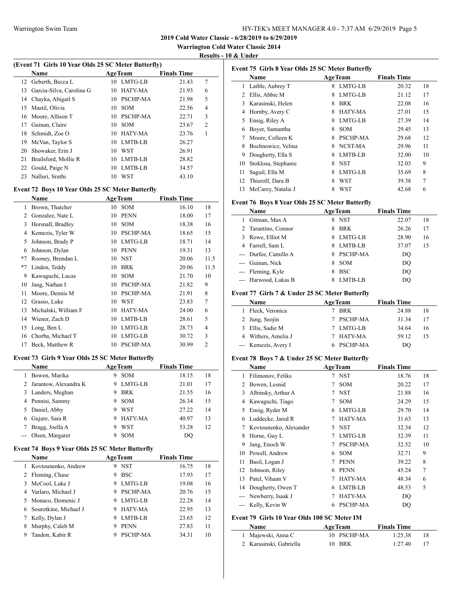**Warrington Cold Water Classic 2014**

**Results - 10 & Under**

 $\sim$ 

### **(Event 71 Girls 10 Year Olds 25 SC Meter Butterfly)**

|     | <b>Name</b>              |    | <b>AgeTeam</b>  | <b>Finals Time</b> |                |
|-----|--------------------------|----|-----------------|--------------------|----------------|
|     | 12 Geberth, Becca L      |    | 10 LMTG-LB      | 21.43              | 7              |
| 13. | Garcia-Silva, Carolina G | 10 | HATY-MA         | 21.93              | 6              |
|     | 14 Chayka, Abigail S     | 10 | <b>PSCHP-MA</b> | 21.98              | 5              |
| 15. | Mastil, Olivia           | 10 | <b>SOM</b>      | 22.56              | 4              |
| 16  | Moore, Allison T         | 10 | PSCHP-MA        | 22.71              | 3              |
| 17  | Guinan, Claire           | 10 | <b>SOM</b>      | 23.67              | $\overline{c}$ |
| 18  | Schmidt, Zoe O           | 10 | HATY-MA         | 23.76              | 1              |
| 19  | McVan, Taylor S          | 10 | LMTB-LB         | 26.27              |                |
| 20  | Showaker, Erin J         | 10 | <b>WST</b>      | 26.91              |                |
| 21  | Brailsford, Mollie R     | 10 | LMTB-LB         | 28.82              |                |
| 22  | Gould, Paige N           | 10 | LMTB-LB         | 34.57              |                |
| 23  | Nalluri, Sruthi          | 10 | WST             | 43.10              |                |

## **Event 72 Boys 10 Year Olds 25 SC Meter Butterfly**

|      | Name                 |    | <b>AgeTeam</b>  | <b>Finals Time</b> |                |
|------|----------------------|----|-----------------|--------------------|----------------|
| 1    | Brown, Thatcher      | 10 | <b>SOM</b>      | 16.10              | 18             |
| 2    | Gonzalez, Nate L     | 10 | <b>PENN</b>     | 18.00              | 17             |
| 3    | Horsnall, Bradley    | 10 | <b>SOM</b>      | 18.38              | 16             |
| 4    | Kemezis, Tyler W     | 10 | <b>PSCHP-MA</b> | 18.65              | 15             |
| 5    | Johnson, Brady P     | 10 | LMTG-LB         | 18.71              | 14             |
| 6    | Johnson, Dylan       | 10 | <b>PENN</b>     | 19.31              | 13             |
| $*7$ | Rooney, Brendan L    | 10 | <b>NST</b>      | 20.06              | 11.5           |
| $*7$ | Linden, Teddy        | 10 | <b>BRK</b>      | 20.06              | 11.5           |
| 9    | Kawaguchi, Lucas     | 10 | <b>SOM</b>      | 21.70              | 10             |
| 10   | Jang, Nathan I       | 10 | <b>PSCHP-MA</b> | 21.82              | 9              |
| 11   | Moore, Dennis M      | 10 | <b>PSCHP-MA</b> | 21.91              | 8              |
| 12   | Grasso, Luke         | 10 | <b>WST</b>      | 23.83              | 7              |
| 13   | Michalski, William F | 10 | <b>HATY-MA</b>  | 24.00              | 6              |
| 14   | Wiener, Zach D       | 10 | LMTB-LB         | 28.61              | 5              |
| 15   | Long, Ben L          | 10 | LMTG-LB         | 28.73              | 4              |
| 16   | Chorba, Michael T    | 10 | LMTG-LB         | 30.72              | 3              |
| 17   | Beck, Matthew R      | 10 | <b>PSCHP-MA</b> | 30.99              | $\overline{2}$ |

### **Event 73 Girls 9 Year Olds 25 SC Meter Butterfly**

|    | <b>Name</b>             | <b>AgeTeam</b> |            | <b>Finals Time</b> |    |
|----|-------------------------|----------------|------------|--------------------|----|
| 1. | Bowen, Marika           | 9              | <b>SOM</b> | 18.15              | 18 |
|    | 2 Jarantow, Alexandra K | 9              | LMTG-LB    | 21.01              | 17 |
|    | 3 Landers, Meghan       | 9              | <b>BRK</b> | 21.55              | 16 |
|    | 4 Pennisi, Sammy        | 9              | <b>SOM</b> | 26.34              | 15 |
|    | 5 Daniel, Abby          | 9              | WST        | 27.22              | 14 |
| 6  | Gujare, Sara R          | 9              | HATY-MA    | 40.97              | 13 |
|    | Bragg, Joella A         | 9              | <b>WST</b> | 53.28              | 12 |
|    | --- Olsen, Margaret     |                | <b>SOM</b> | DO                 |    |

### **Event 74 Boys 9 Year Olds 25 SC Meter Butterfly**

|   | <b>Name</b>           | <b>AgeTeam</b> |                 | <b>Finals Time</b> |    |
|---|-----------------------|----------------|-----------------|--------------------|----|
|   | 1 Kovtounenko, Andrew | 9              | NST             | 16.75              | 18 |
|   | 2 Fleming, Chase      | 9              | <b>BSC</b>      | 17.93              | 17 |
|   | 3 McCool, Luke J      | 9              | LMTG-LB         | 19.08              | 16 |
| 4 | Varlaro, Michael J    | 9              | <b>PSCHP-MA</b> | 20.76              | 15 |
|   | 5 Monaco, Domenic J   | 9              | LMTG-LB         | 22.28              | 14 |
| 6 | Sourotkine, Michael J | 9              | HATY-MA         | 22.95              | 13 |
|   | Kelly, Dylan J        | 9              | LMTB-LB         | 23.65              | 12 |
| 8 | Murphy, Caleb M       | 9              | <b>PENN</b>     | 27.83              | 11 |
| 9 | Tandon, Kabir R       |                | PSCHP-MA        | 34.31              | 10 |

| Event 75 Girls 8 Year Olds 25 SC Meter Butterfly |                     |                |            |                    |                |  |
|--------------------------------------------------|---------------------|----------------|------------|--------------------|----------------|--|
|                                                  | <b>Name</b>         | <b>AgeTeam</b> |            | <b>Finals Time</b> |                |  |
| 1                                                | Laible, Aubrey T    | 8              | LMTG-LB    | 20.32              | 18             |  |
| 2                                                | Ellis, Abbie M      | 8              | LMTG-LB    | 21.12              | 17             |  |
| 3                                                | Karasinski, Helen   | 8              | <b>BRK</b> | 22.08              | 16             |  |
| 4                                                | Hornby, Avery C     | 8              | HATY-MA    | 27.01              | 15             |  |
| 5                                                | Ensig, Riley A      | 8              | LMTG-LB    | 27.39              | 14             |  |
| 6                                                | Boyer, Samantha     | 8              | <b>SOM</b> | 29.45              | 13             |  |
| 7                                                | Moore, Colleen K    | 8              | PSCHP-MA   | 29.68              | 12             |  |
| 8                                                | Bochnowicz, Velina  | 8              | NCST-MA    | 29.96              | 11             |  |
| 9                                                | Dougherty, Ella S   | 8              | LMTB-LB    | 32.00              | 10             |  |
| 10                                               | Stoklosa, Stephanie | 8              | <b>NST</b> | 32.03              | 9              |  |
| 11                                               | Saguil, Ella M      | 8              | LMTG-LB    | 35.69              | 8              |  |
| 12                                               | Thierolf, Dara B    | 8              | WST        | 39.38              | $\overline{7}$ |  |
| 13                                               | McCarey, Natalie J  | 8              | <b>WST</b> | 42.68              | 6              |  |

### **Event 76 Boys 8 Year Olds 25 SC Meter Butterfly**

| <b>AgeTeam</b><br><b>Name</b> |   |            | <b>Finals Time</b> |    |
|-------------------------------|---|------------|--------------------|----|
| Gitman, Max A                 | 8 | <b>NST</b> | 22.07              | 18 |
| 2 Tarantino, Connor           |   | <b>BRK</b> | 26.26              | 17 |
| 3 Rowe, Elliot M              |   | LMTG-LB    | 28.90              | 16 |
| 4 Farrell, Sam L              |   | LMTB-LB    | 37.07              | 15 |
| --- Durfee, Camillo A         |   | PSCHP-MA   | DO                 |    |
| --- Guinan, Nick              | 8 | <b>SOM</b> | DO                 |    |
| --- Fleming, Kyle             | 8 | <b>BSC</b> | DO                 |    |
| --- Harwood, Lukas B          |   | LMTB-LB    | DO                 |    |

## **Event 77 Girls 7 & Under 25 SC Meter Butterfly**

|   | <b>Name</b>          | <b>AgeTeam</b> | <b>Finals Time</b> |    |
|---|----------------------|----------------|--------------------|----|
|   | Fleck, Veronica      | <b>BRK</b>     | 24.88              | 18 |
|   | 2 Jung, Seojin       | 7 PSCHP-MA     | 31.34              | 17 |
| 3 | Ellis, Sadie M       | 7 LMTG-LB      | 34.64              | 16 |
|   | 4 Withers, Amelia J  | HATY-MA        | 59.12              | 15 |
|   | --- Kemezis, Avery I | 6 PSCHP-MA     | DO                 |    |

## **Event 78 Boys 7 & Under 25 SC Meter Butterfly**

|                | Name                   |    | <b>AgeTeam</b>  | <b>Finals Time</b> |    |
|----------------|------------------------|----|-----------------|--------------------|----|
| 1              | Filimonov, Feliks      | 7  | <b>NST</b>      | 18.76              | 18 |
| 2              | Bowen, Lesnid          | 7  | <b>SOM</b>      | 20.22              | 17 |
| 3              | Albinsky, Arthur A     | 7  | <b>NST</b>      | 21.88              | 16 |
| 4              | Kawaguchi, Tiago       | 7  | <b>SOM</b>      | 24.29              | 15 |
| 5              | Ensig, Ryder M         | 6  | LMTG-LB         | 29.70              | 14 |
| 6              | Luddecke, Jared R      | 7  | HATY-MA         | 31.63              | 13 |
| 7              | Kovtounenko, Alexander | 5. | <b>NST</b>      | 32.34              | 12 |
| 8              | Horne, Guy L           | 7  | LMTG-LB         | 32.39              | 11 |
| 9              | Jang, Enoch W          | 7  | PSCHP-MA        | 32.52              | 10 |
| 10             | Powell, Andrew         | 6  | <b>SOM</b>      | 32.71              | 9  |
| 11             | Basil, Logan J         | 7  | <b>PENN</b>     | 39.22              | 8  |
| 12             | Johnson, Riley         | 6  | <b>PENN</b>     | 45.24              | 7  |
| 13             | Patel, Vihaan V        | 7  | HATY-MA         | 48.34              | 6  |
| 14             | Dougherty, Owen T      | 6  | LMTB-LB         | 48.53              | 5  |
| $\overline{a}$ | Newberry, Isaak J      | 7  | HATY-MA         | DQ                 |    |
|                | Kelly, Kevin W         | 6  | <b>PSCHP-MA</b> | DO                 |    |
|                |                        |    |                 |                    |    |

#### **Event 79 Girls 10 Year Olds 100 SC Meter IM Name Age Team Finals Time**

| гуаше                   | Аре геаш    | гшать типе |     |
|-------------------------|-------------|------------|-----|
| 1 Majewski, Anna C      | 10 PSCHP-MA | 1:25.38    | -18 |
| 2 Karasinski, Gabriella | 10 BRK      | 1:27.40    |     |